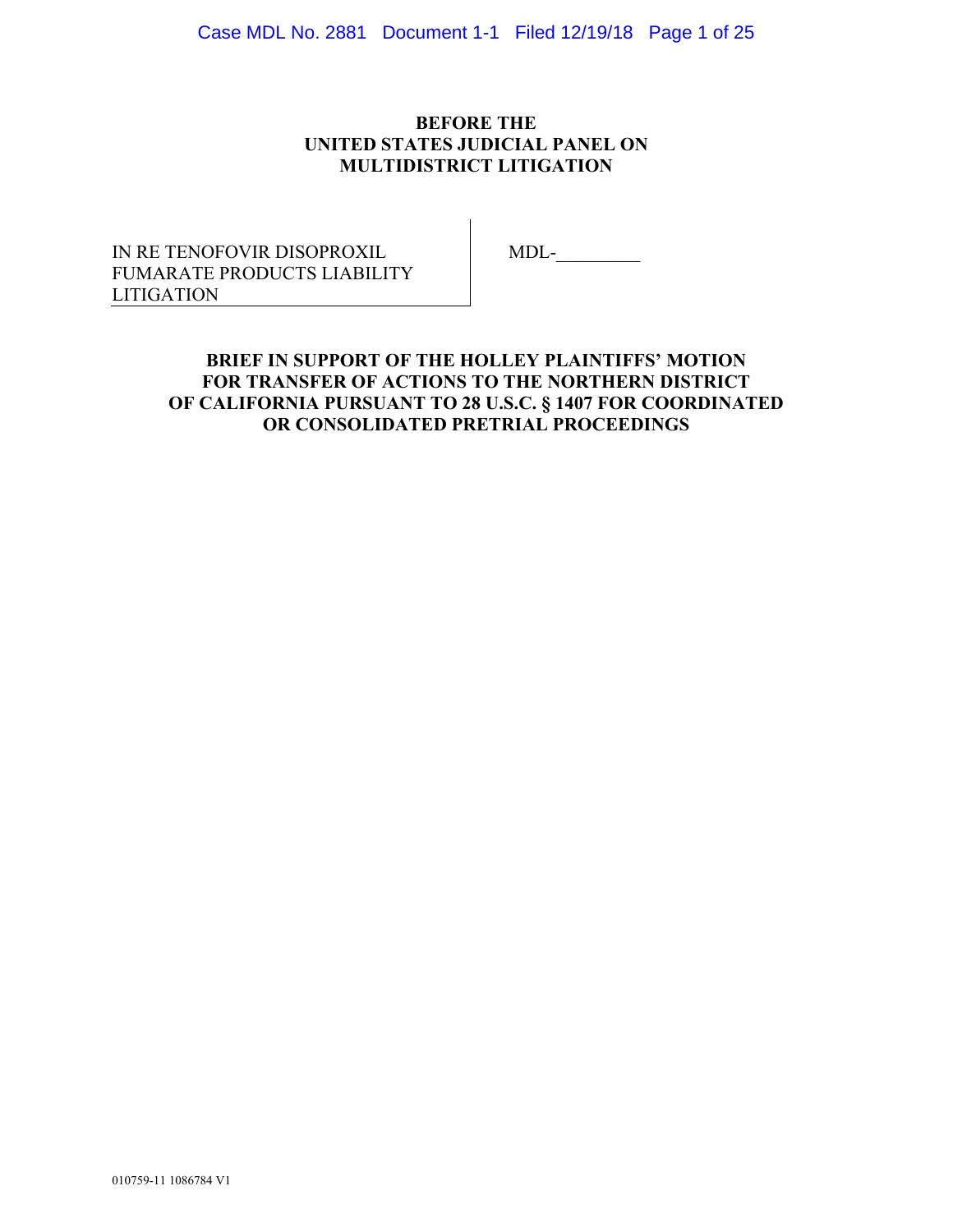Case MDL No. 2881 Document 1-1 Filed 12/19/18 Page 1 of 25

## **BEFORE THE UNITED STATES JUDICIAL PANEL ON MULTIDISTRICT LITIGATION**

IN RE TENOFOVIR DISOPROXIL FUMARATE PRODUCTS LIABILITY LITIGATION

MDL-\_\_\_\_\_\_\_\_\_

# **BRIEF IN SUPPORT OF THE HOLLEY PLAINTIFFS' MOTION FOR TRANSFER OF ACTIONS TO THE NORTHERN DISTRICT OF CALIFORNIA PURSUANT TO 28 U.S.C. § 1407 FOR COORDINATED OR CONSOLIDATED PRETRIAL PROCEEDINGS**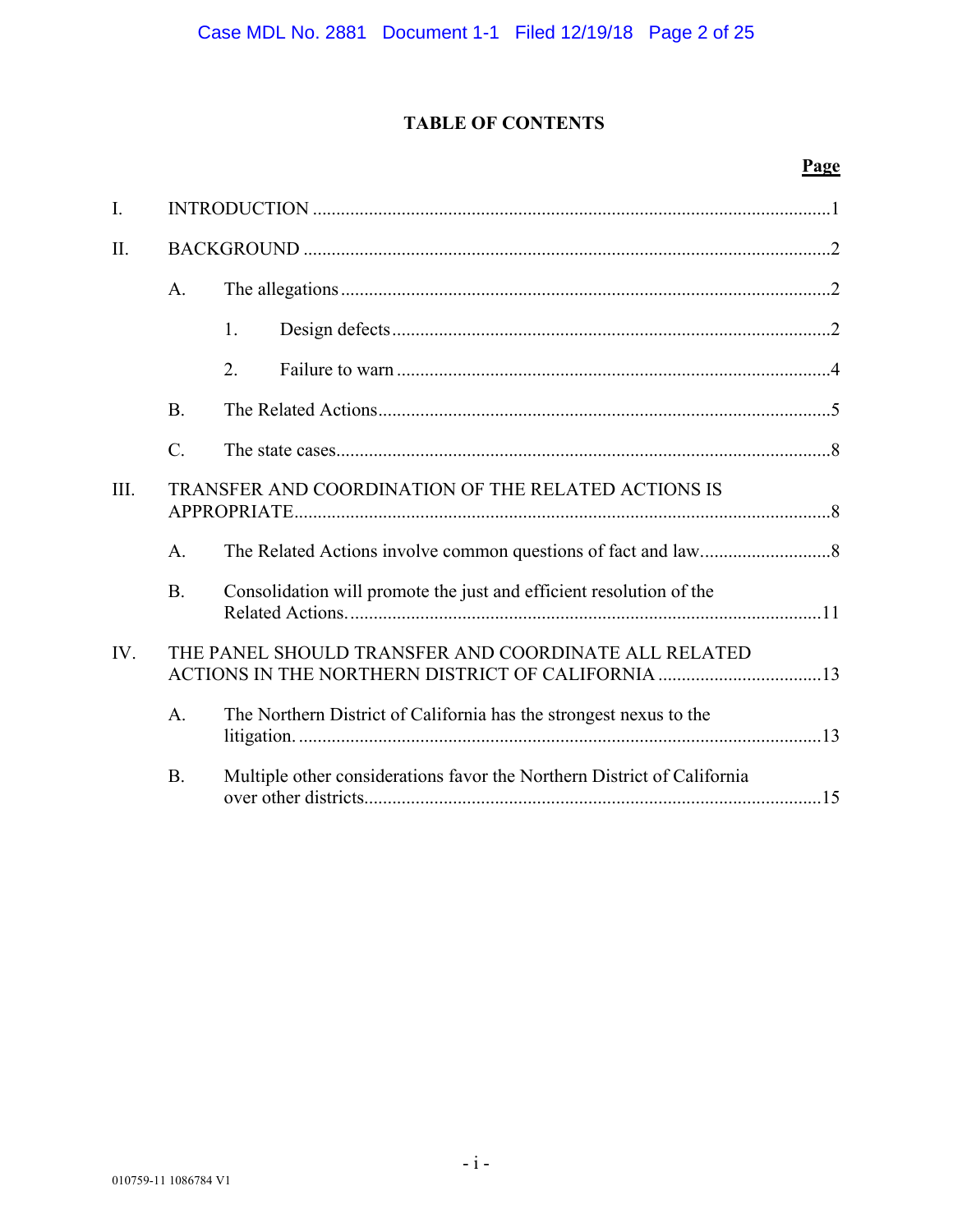# **TABLE OF CONTENTS**

# **Page**

| I.   |                                                     |                                                                                                           |  |  |  |
|------|-----------------------------------------------------|-----------------------------------------------------------------------------------------------------------|--|--|--|
| II.  |                                                     |                                                                                                           |  |  |  |
|      | A.                                                  |                                                                                                           |  |  |  |
|      |                                                     | 1.                                                                                                        |  |  |  |
|      |                                                     | 2.                                                                                                        |  |  |  |
|      | <b>B.</b>                                           |                                                                                                           |  |  |  |
|      | $\mathcal{C}$ .                                     |                                                                                                           |  |  |  |
| III. | TRANSFER AND COORDINATION OF THE RELATED ACTIONS IS |                                                                                                           |  |  |  |
|      | A.                                                  |                                                                                                           |  |  |  |
|      | <b>B.</b>                                           | Consolidation will promote the just and efficient resolution of the                                       |  |  |  |
| IV.  |                                                     | THE PANEL SHOULD TRANSFER AND COORDINATE ALL RELATED<br>ACTIONS IN THE NORTHERN DISTRICT OF CALIFORNIA 13 |  |  |  |
|      | A.                                                  | The Northern District of California has the strongest nexus to the                                        |  |  |  |
|      | <b>B.</b>                                           | Multiple other considerations favor the Northern District of California                                   |  |  |  |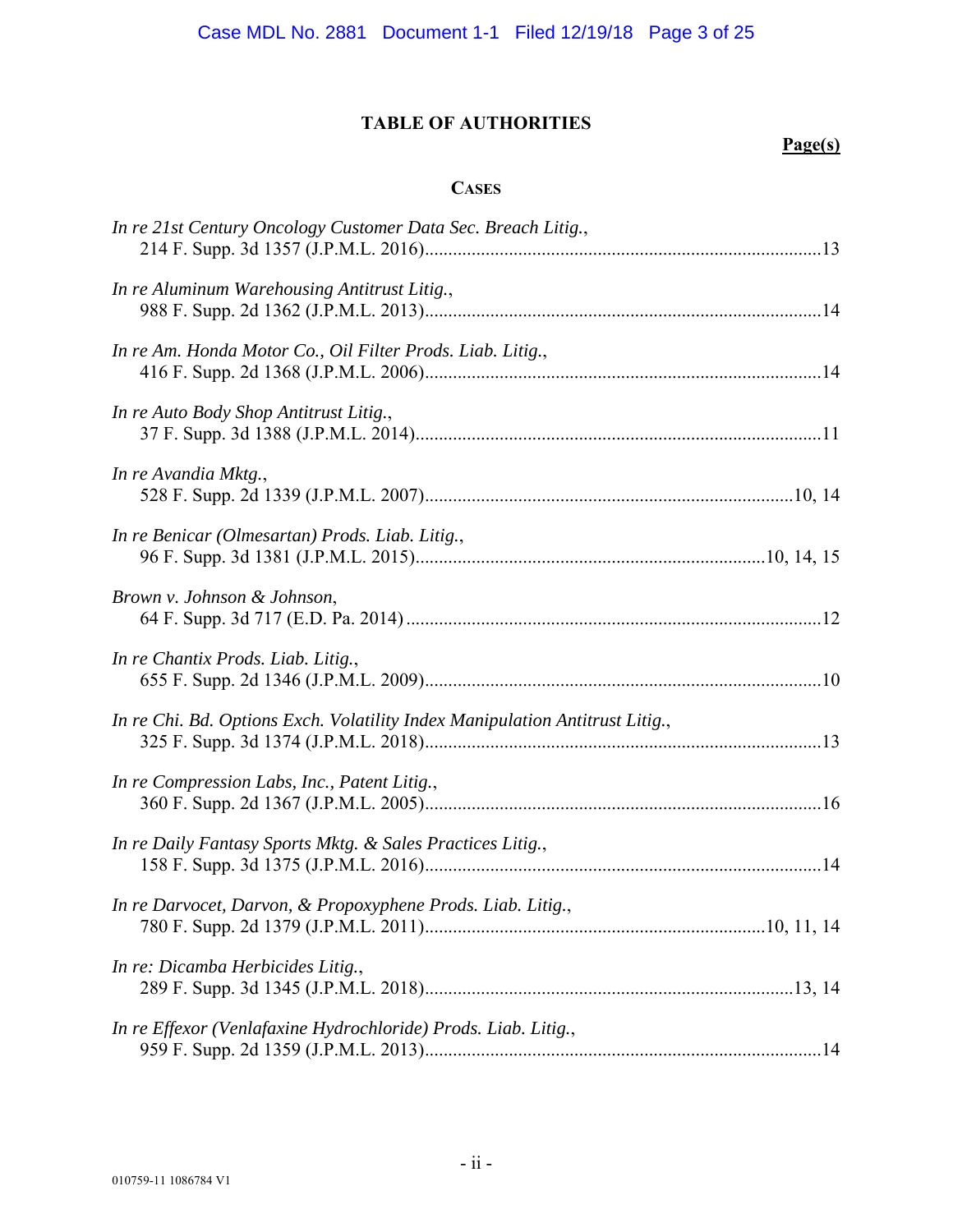# **TABLE OF AUTHORITIES**

# **Page(s)**

### **CASES**

| In re 21st Century Oncology Customer Data Sec. Breach Litig.,                |  |
|------------------------------------------------------------------------------|--|
| In re Aluminum Warehousing Antitrust Litig.,                                 |  |
| In re Am. Honda Motor Co., Oil Filter Prods. Liab. Litig.,                   |  |
| In re Auto Body Shop Antitrust Litig.,                                       |  |
| In re Avandia Mktg.,                                                         |  |
| In re Benicar (Olmesartan) Prods. Liab. Litig.,                              |  |
| Brown v. Johnson & Johnson,                                                  |  |
| In re Chantix Prods. Liab. Litig.,                                           |  |
| In re Chi. Bd. Options Exch. Volatility Index Manipulation Antitrust Litig., |  |
| In re Compression Labs, Inc., Patent Litig.,                                 |  |
| In re Daily Fantasy Sports Mktg. & Sales Practices Litig.,                   |  |
| In re Darvocet, Darvon, & Propoxyphene Prods. Liab. Litig.,                  |  |
| In re: Dicamba Herbicides Litig.,                                            |  |
| In re Effexor (Venlafaxine Hydrochloride) Prods. Liab. Litig.,               |  |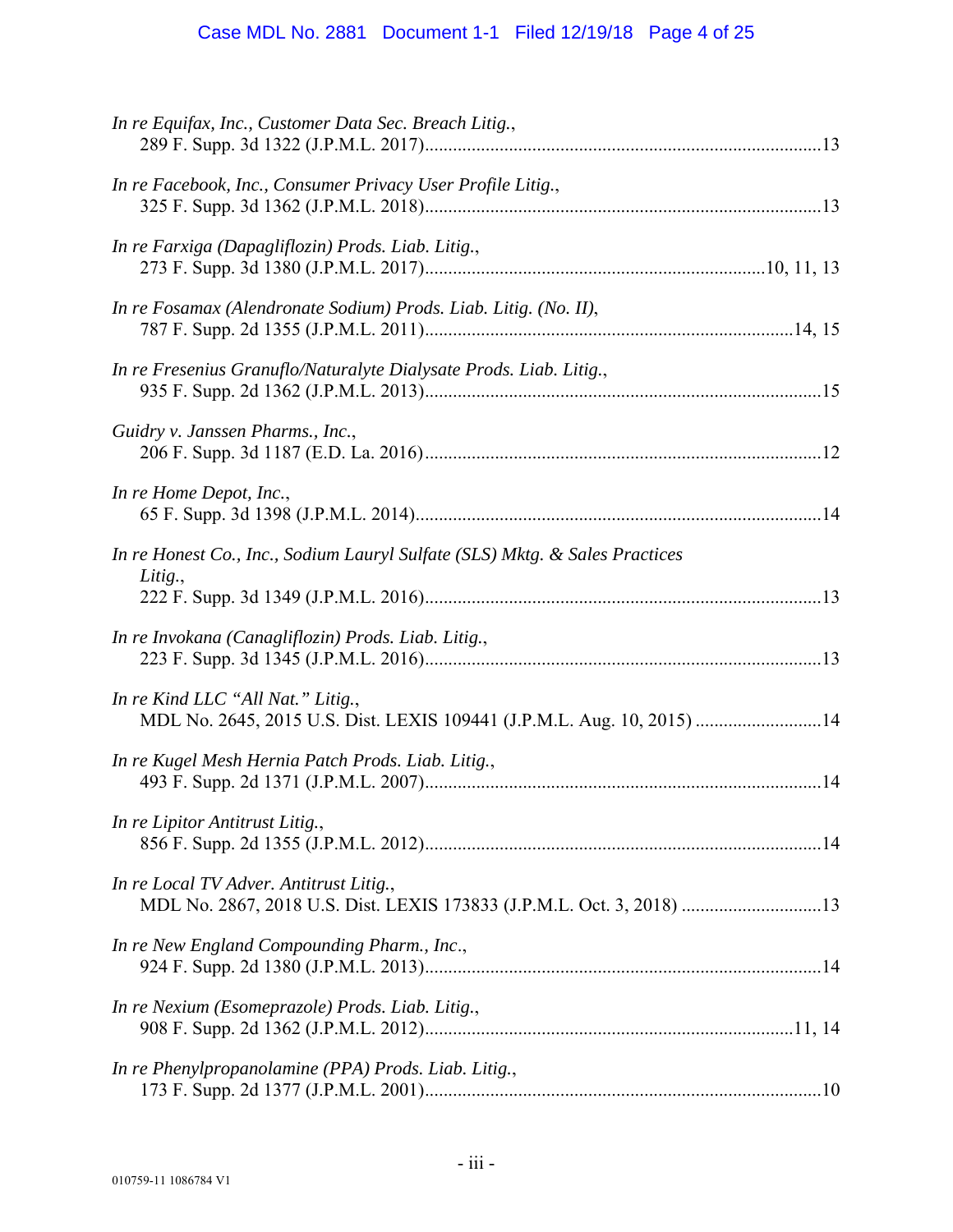# Case MDL No. 2881 Document 1-1 Filed 12/19/18 Page 4 of 25

| In re Equifax, Inc., Customer Data Sec. Breach Litig.,                                                           |
|------------------------------------------------------------------------------------------------------------------|
| In re Facebook, Inc., Consumer Privacy User Profile Litig.,                                                      |
| In re Farxiga (Dapagliflozin) Prods. Liab. Litig.,                                                               |
| In re Fosamax (Alendronate Sodium) Prods. Liab. Litig. (No. II),                                                 |
| In re Fresenius Granuflo/Naturalyte Dialysate Prods. Liab. Litig.,                                               |
| Guidry v. Janssen Pharms., Inc.,                                                                                 |
| In re Home Depot, Inc.,                                                                                          |
| In re Honest Co., Inc., Sodium Lauryl Sulfate (SLS) Mktg. & Sales Practices<br>Litig.,                           |
| In re Invokana (Canagliflozin) Prods. Liab. Litig.,                                                              |
| In re Kind LLC "All Nat." Litig.,<br>MDL No. 2645, 2015 U.S. Dist. LEXIS 109441 (J.P.M.L. Aug. 10, 2015) 14      |
| In re Kugel Mesh Hernia Patch Prods. Liab. Litig.,                                                               |
| In re Lipitor Antitrust Litig.,                                                                                  |
| In re Local TV Adver. Antitrust Litig.,<br>MDL No. 2867, 2018 U.S. Dist. LEXIS 173833 (J.P.M.L. Oct. 3, 2018) 13 |
| In re New England Compounding Pharm., Inc.,                                                                      |
| In re Nexium (Esomeprazole) Prods. Liab. Litig.,                                                                 |
| In re Phenylpropanolamine (PPA) Prods. Liab. Litig.,                                                             |
|                                                                                                                  |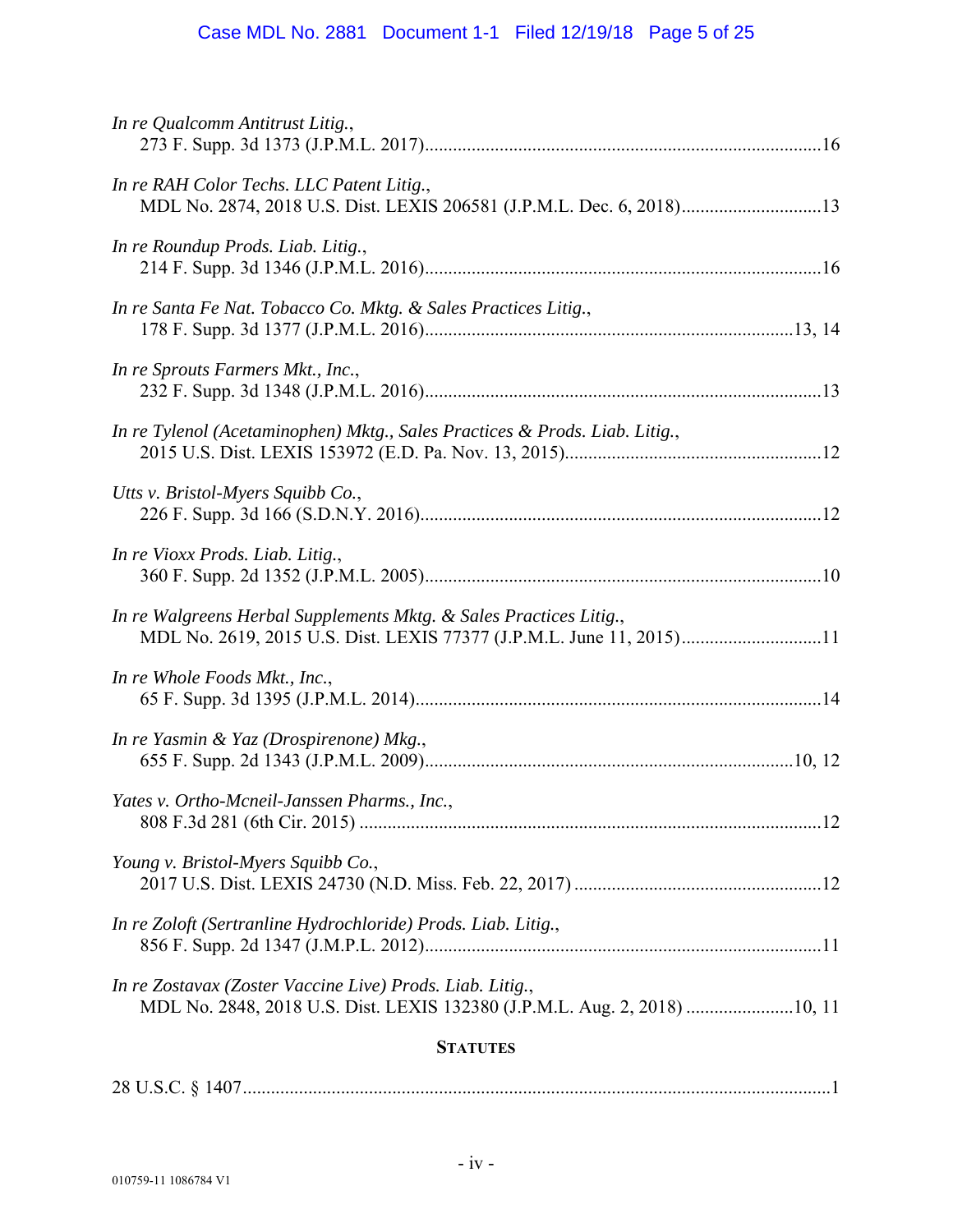# Case MDL No. 2881 Document 1-1 Filed 12/19/18 Page 5 of 25

| In re Qualcomm Antitrust Litig.,                                                                                                           |  |  |  |  |
|--------------------------------------------------------------------------------------------------------------------------------------------|--|--|--|--|
| In re RAH Color Techs. LLC Patent Litig.,<br>MDL No. 2874, 2018 U.S. Dist. LEXIS 206581 (J.P.M.L. Dec. 6, 2018)13                          |  |  |  |  |
| In re Roundup Prods. Liab. Litig.,                                                                                                         |  |  |  |  |
| In re Santa Fe Nat. Tobacco Co. Mktg. & Sales Practices Litig.,                                                                            |  |  |  |  |
| In re Sprouts Farmers Mkt., Inc.,                                                                                                          |  |  |  |  |
| In re Tylenol (Acetaminophen) Mktg., Sales Practices & Prods. Liab. Litig.,                                                                |  |  |  |  |
| Utts v. Bristol-Myers Squibb Co.,                                                                                                          |  |  |  |  |
| In re Vioxx Prods. Liab. Litig.,                                                                                                           |  |  |  |  |
| In re Walgreens Herbal Supplements Mktg. & Sales Practices Litig.,<br>MDL No. 2619, 2015 U.S. Dist. LEXIS 77377 (J.P.M.L. June 11, 2015)11 |  |  |  |  |
| In re Whole Foods Mkt., Inc.,                                                                                                              |  |  |  |  |
| In re Yasmin & Yaz (Drospirenone) Mkg.,                                                                                                    |  |  |  |  |
| Yates v. Ortho-Mcneil-Janssen Pharms., Inc.,                                                                                               |  |  |  |  |
| Young v. Bristol-Myers Squibb Co.,                                                                                                         |  |  |  |  |
| In re Zoloft (Sertranline Hydrochloride) Prods. Liab. Litig.,                                                                              |  |  |  |  |
| In re Zostavax (Zoster Vaccine Live) Prods. Liab. Litig.,<br>MDL No. 2848, 2018 U.S. Dist. LEXIS 132380 (J.P.M.L. Aug. 2, 2018) 10, 11     |  |  |  |  |
| <b>STATUTES</b>                                                                                                                            |  |  |  |  |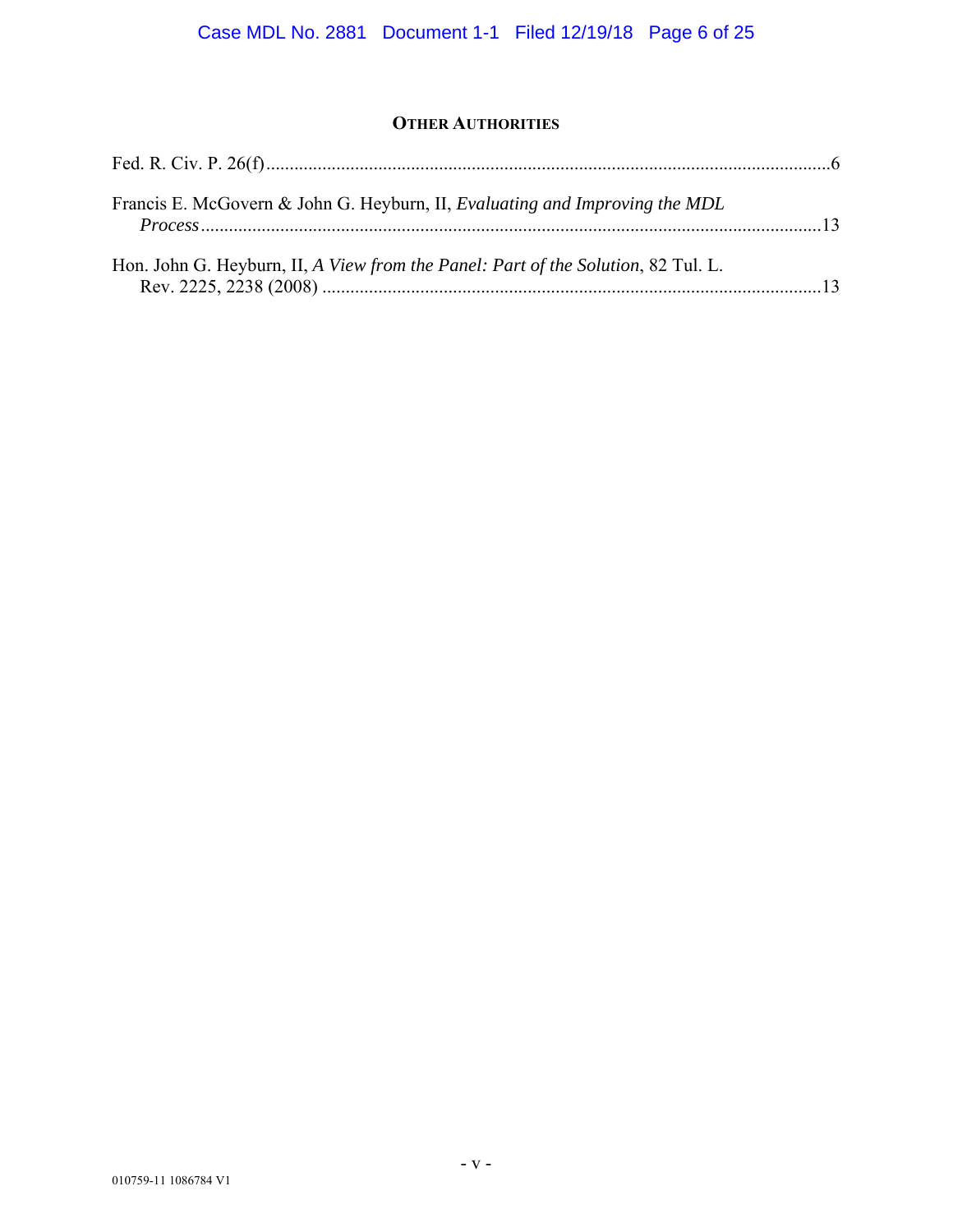# **OTHER AUTHORITIES**

| Francis E. McGovern & John G. Heyburn, II, Evaluating and Improving the MDL       |  |
|-----------------------------------------------------------------------------------|--|
| Hon. John G. Heyburn, II, A View from the Panel: Part of the Solution, 82 Tul. L. |  |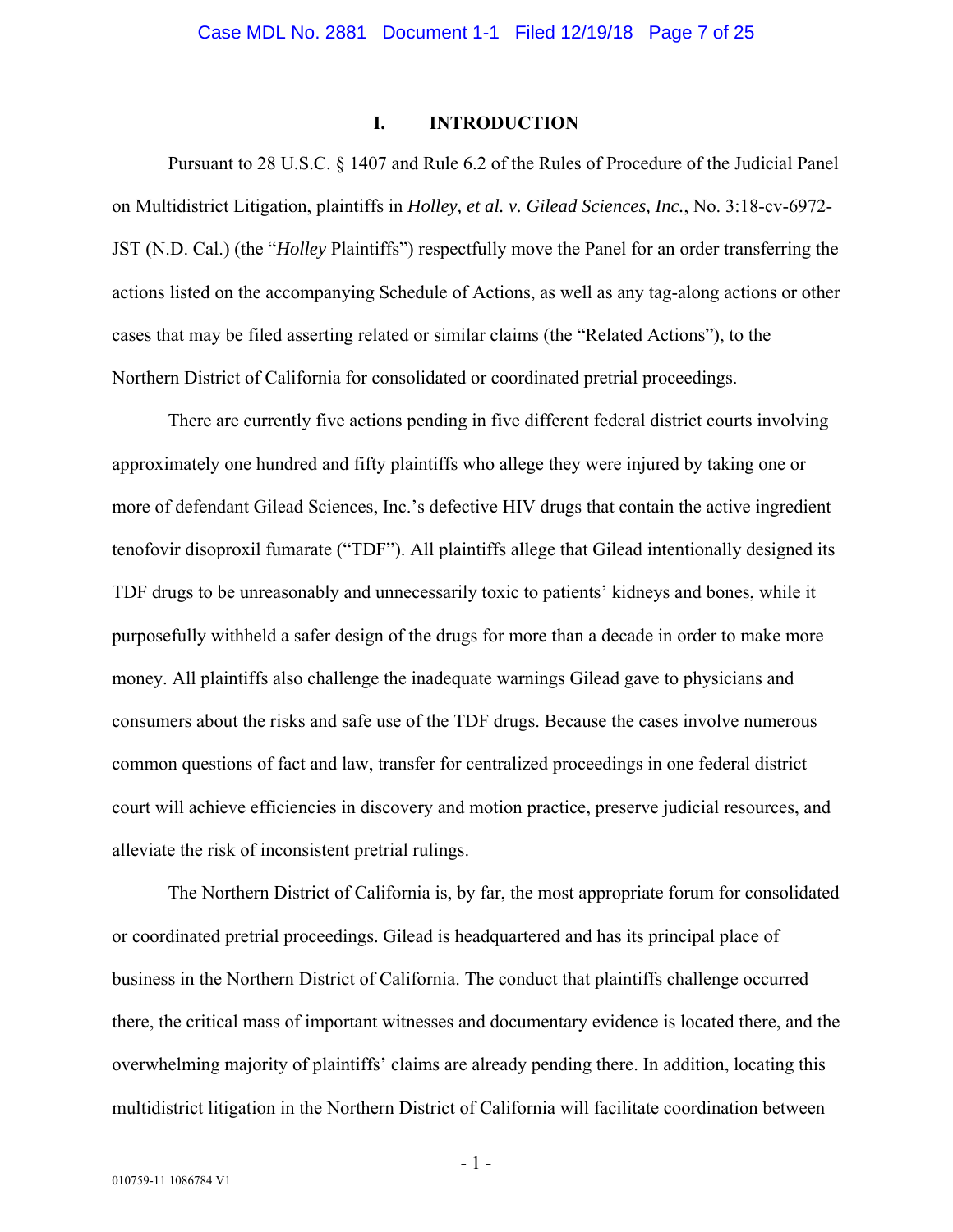#### **I. INTRODUCTION**

Pursuant to 28 U.S.C. § 1407 and Rule 6.2 of the Rules of Procedure of the Judicial Panel on Multidistrict Litigation, plaintiffs in *Holley, et al. v. Gilead Sciences, Inc.*, No. 3:18-cv-6972- JST (N.D. Cal.) (the "*Holley* Plaintiffs") respectfully move the Panel for an order transferring the actions listed on the accompanying Schedule of Actions, as well as any tag-along actions or other cases that may be filed asserting related or similar claims (the "Related Actions"), to the Northern District of California for consolidated or coordinated pretrial proceedings.

There are currently five actions pending in five different federal district courts involving approximately one hundred and fifty plaintiffs who allege they were injured by taking one or more of defendant Gilead Sciences, Inc.'s defective HIV drugs that contain the active ingredient tenofovir disoproxil fumarate ("TDF"). All plaintiffs allege that Gilead intentionally designed its TDF drugs to be unreasonably and unnecessarily toxic to patients' kidneys and bones, while it purposefully withheld a safer design of the drugs for more than a decade in order to make more money. All plaintiffs also challenge the inadequate warnings Gilead gave to physicians and consumers about the risks and safe use of the TDF drugs. Because the cases involve numerous common questions of fact and law, transfer for centralized proceedings in one federal district court will achieve efficiencies in discovery and motion practice, preserve judicial resources, and alleviate the risk of inconsistent pretrial rulings.

The Northern District of California is, by far, the most appropriate forum for consolidated or coordinated pretrial proceedings. Gilead is headquartered and has its principal place of business in the Northern District of California. The conduct that plaintiffs challenge occurred there, the critical mass of important witnesses and documentary evidence is located there, and the overwhelming majority of plaintiffs' claims are already pending there. In addition, locating this multidistrict litigation in the Northern District of California will facilitate coordination between

- 1 -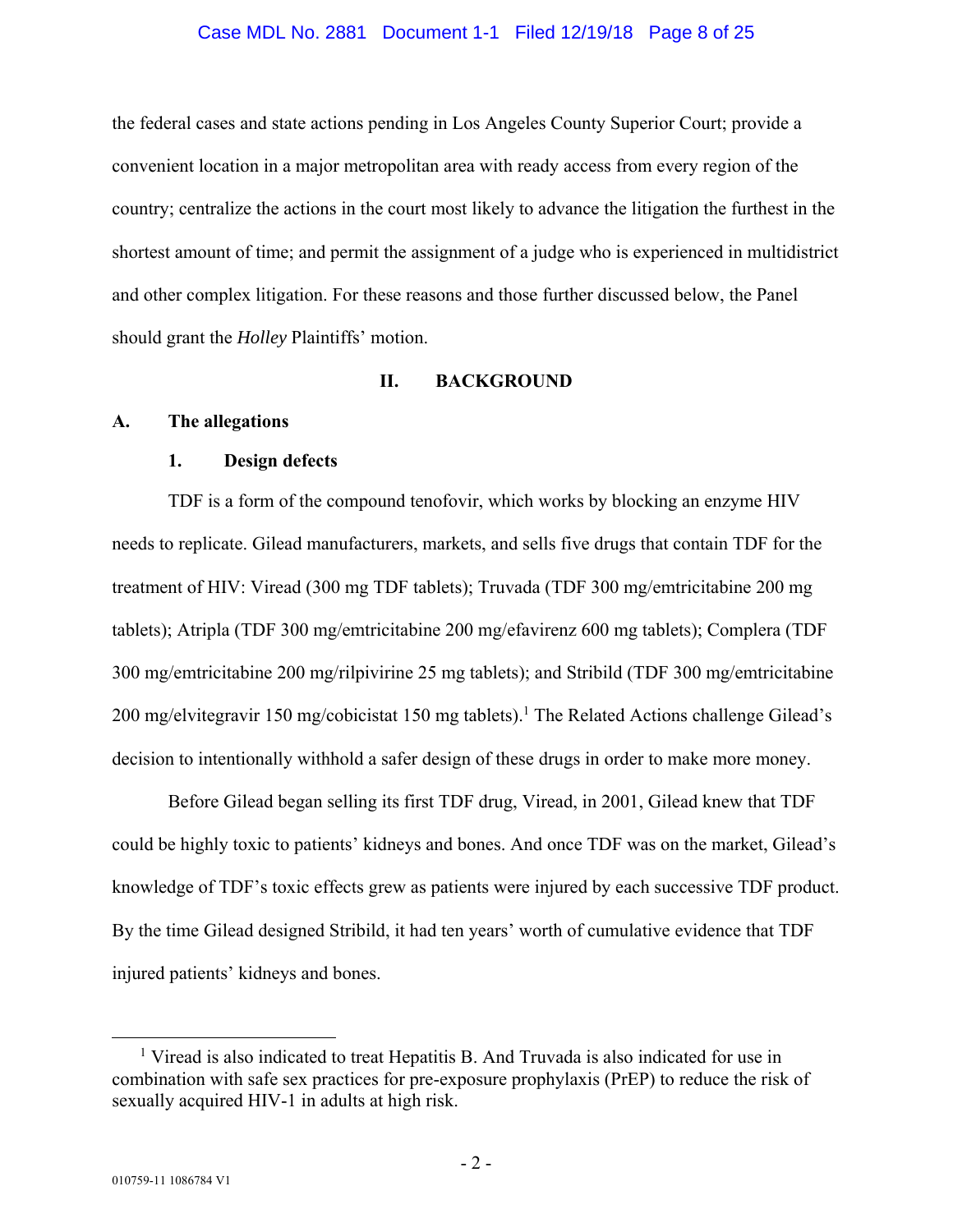#### Case MDL No. 2881 Document 1-1 Filed 12/19/18 Page 8 of 25

the federal cases and state actions pending in Los Angeles County Superior Court; provide a convenient location in a major metropolitan area with ready access from every region of the country; centralize the actions in the court most likely to advance the litigation the furthest in the shortest amount of time; and permit the assignment of a judge who is experienced in multidistrict and other complex litigation. For these reasons and those further discussed below, the Panel should grant the *Holley* Plaintiffs' motion.

#### **II. BACKGROUND**

#### **A. The allegations**

### **1. Design defects**

TDF is a form of the compound tenofovir, which works by blocking an enzyme HIV needs to replicate. Gilead manufacturers, markets, and sells five drugs that contain TDF for the treatment of HIV: Viread (300 mg TDF tablets); Truvada (TDF 300 mg/emtricitabine 200 mg tablets); Atripla (TDF 300 mg/emtricitabine 200 mg/efavirenz 600 mg tablets); Complera (TDF 300 mg/emtricitabine 200 mg/rilpivirine 25 mg tablets); and Stribild (TDF 300 mg/emtricitabine 200 mg/elvitegravir 150 mg/cobicistat 150 mg tablets).<sup>1</sup> The Related Actions challenge Gilead's decision to intentionally withhold a safer design of these drugs in order to make more money.

Before Gilead began selling its first TDF drug, Viread, in 2001, Gilead knew that TDF could be highly toxic to patients' kidneys and bones. And once TDF was on the market, Gilead's knowledge of TDF's toxic effects grew as patients were injured by each successive TDF product. By the time Gilead designed Stribild, it had ten years' worth of cumulative evidence that TDF injured patients' kidneys and bones.

 $\overline{\phantom{0}}$ <sup>1</sup> Viread is also indicated to treat Hepatitis B. And Truvada is also indicated for use in combination with safe sex practices for pre-exposure prophylaxis (PrEP) to reduce the risk of sexually acquired HIV-1 in adults at high risk.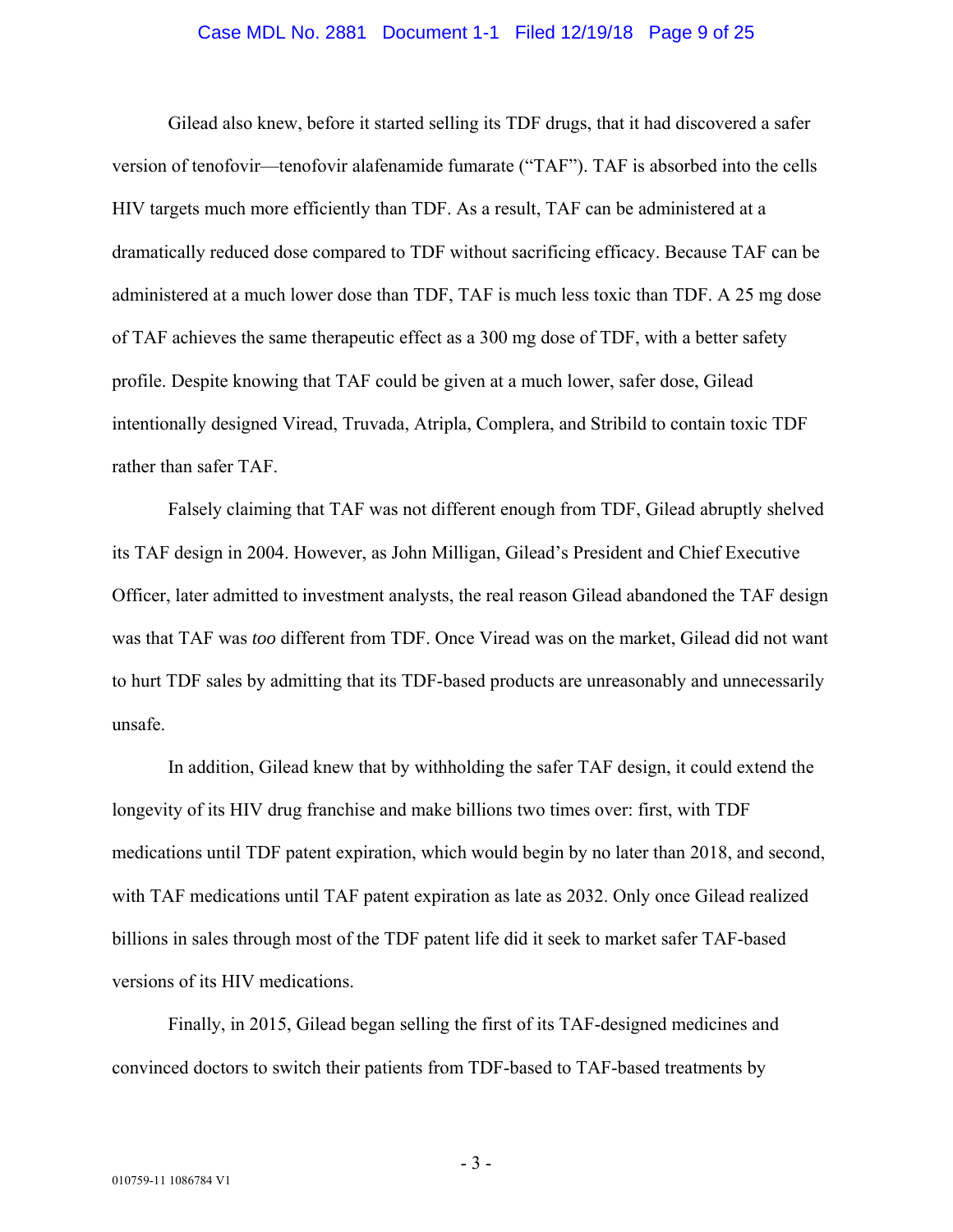#### Case MDL No. 2881 Document 1-1 Filed 12/19/18 Page 9 of 25

Gilead also knew, before it started selling its TDF drugs, that it had discovered a safer version of tenofovir—tenofovir alafenamide fumarate ("TAF"). TAF is absorbed into the cells HIV targets much more efficiently than TDF. As a result, TAF can be administered at a dramatically reduced dose compared to TDF without sacrificing efficacy. Because TAF can be administered at a much lower dose than TDF, TAF is much less toxic than TDF. A 25 mg dose of TAF achieves the same therapeutic effect as a 300 mg dose of TDF, with a better safety profile. Despite knowing that TAF could be given at a much lower, safer dose, Gilead intentionally designed Viread, Truvada, Atripla, Complera, and Stribild to contain toxic TDF rather than safer TAF.

Falsely claiming that TAF was not different enough from TDF, Gilead abruptly shelved its TAF design in 2004. However, as John Milligan, Gilead's President and Chief Executive Officer, later admitted to investment analysts, the real reason Gilead abandoned the TAF design was that TAF was *too* different from TDF. Once Viread was on the market, Gilead did not want to hurt TDF sales by admitting that its TDF-based products are unreasonably and unnecessarily unsafe.

In addition, Gilead knew that by withholding the safer TAF design, it could extend the longevity of its HIV drug franchise and make billions two times over: first, with TDF medications until TDF patent expiration, which would begin by no later than 2018, and second, with TAF medications until TAF patent expiration as late as 2032. Only once Gilead realized billions in sales through most of the TDF patent life did it seek to market safer TAF-based versions of its HIV medications.

Finally, in 2015, Gilead began selling the first of its TAF-designed medicines and convinced doctors to switch their patients from TDF-based to TAF-based treatments by

- 3 -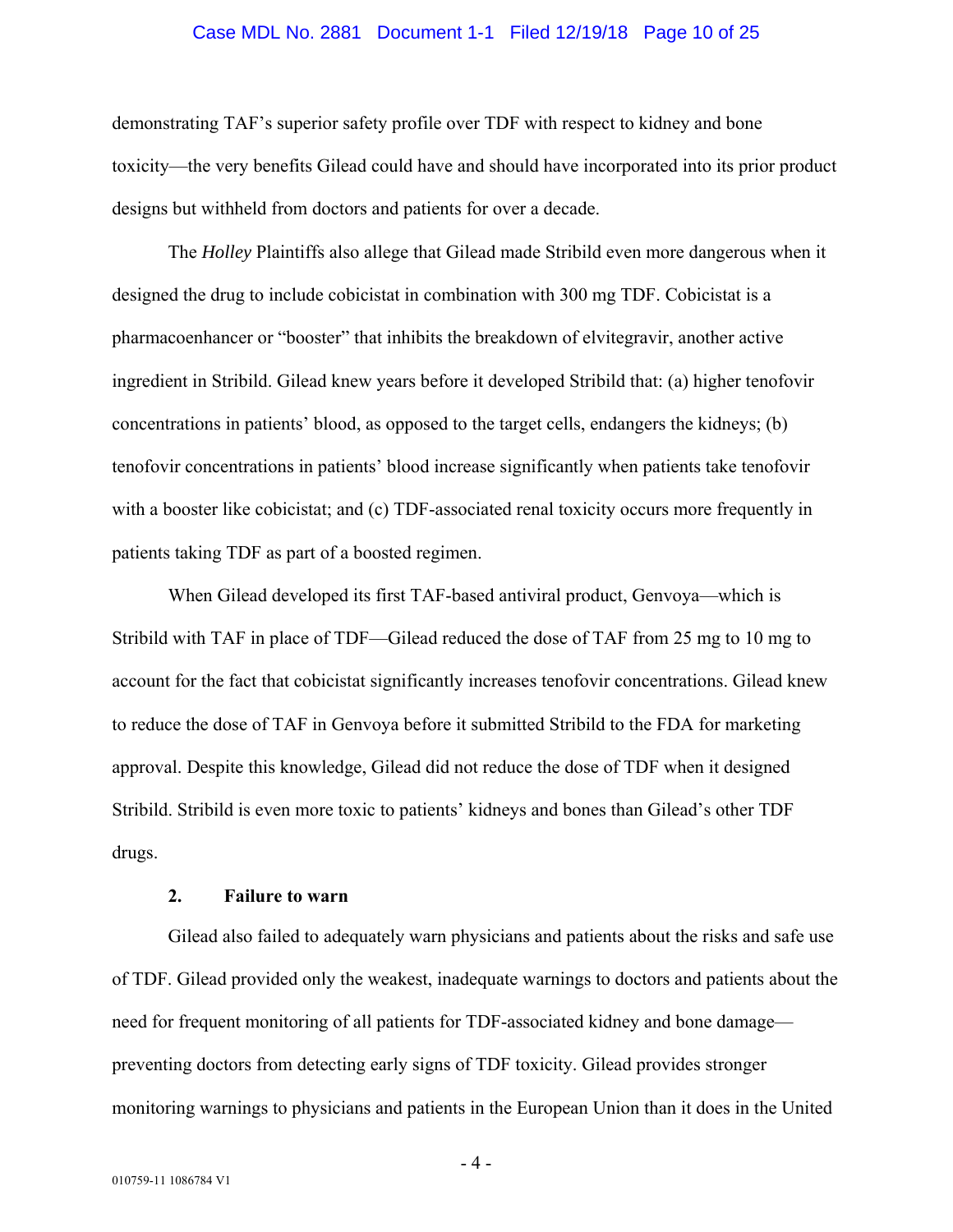#### Case MDL No. 2881 Document 1-1 Filed 12/19/18 Page 10 of 25

demonstrating TAF's superior safety profile over TDF with respect to kidney and bone toxicity—the very benefits Gilead could have and should have incorporated into its prior product designs but withheld from doctors and patients for over a decade.

The *Holley* Plaintiffs also allege that Gilead made Stribild even more dangerous when it designed the drug to include cobicistat in combination with 300 mg TDF. Cobicistat is a pharmacoenhancer or "booster" that inhibits the breakdown of elvitegravir, another active ingredient in Stribild. Gilead knew years before it developed Stribild that: (a) higher tenofovir concentrations in patients' blood, as opposed to the target cells, endangers the kidneys; (b) tenofovir concentrations in patients' blood increase significantly when patients take tenofovir with a booster like cobicistat; and (c) TDF-associated renal toxicity occurs more frequently in patients taking TDF as part of a boosted regimen.

When Gilead developed its first TAF-based antiviral product, Genvoya—which is Stribild with TAF in place of TDF—Gilead reduced the dose of TAF from 25 mg to 10 mg to account for the fact that cobicistat significantly increases tenofovir concentrations. Gilead knew to reduce the dose of TAF in Genvoya before it submitted Stribild to the FDA for marketing approval. Despite this knowledge, Gilead did not reduce the dose of TDF when it designed Stribild. Stribild is even more toxic to patients' kidneys and bones than Gilead's other TDF drugs.

### **2. Failure to warn**

Gilead also failed to adequately warn physicians and patients about the risks and safe use of TDF. Gilead provided only the weakest, inadequate warnings to doctors and patients about the need for frequent monitoring of all patients for TDF-associated kidney and bone damage preventing doctors from detecting early signs of TDF toxicity. Gilead provides stronger monitoring warnings to physicians and patients in the European Union than it does in the United

- 4 -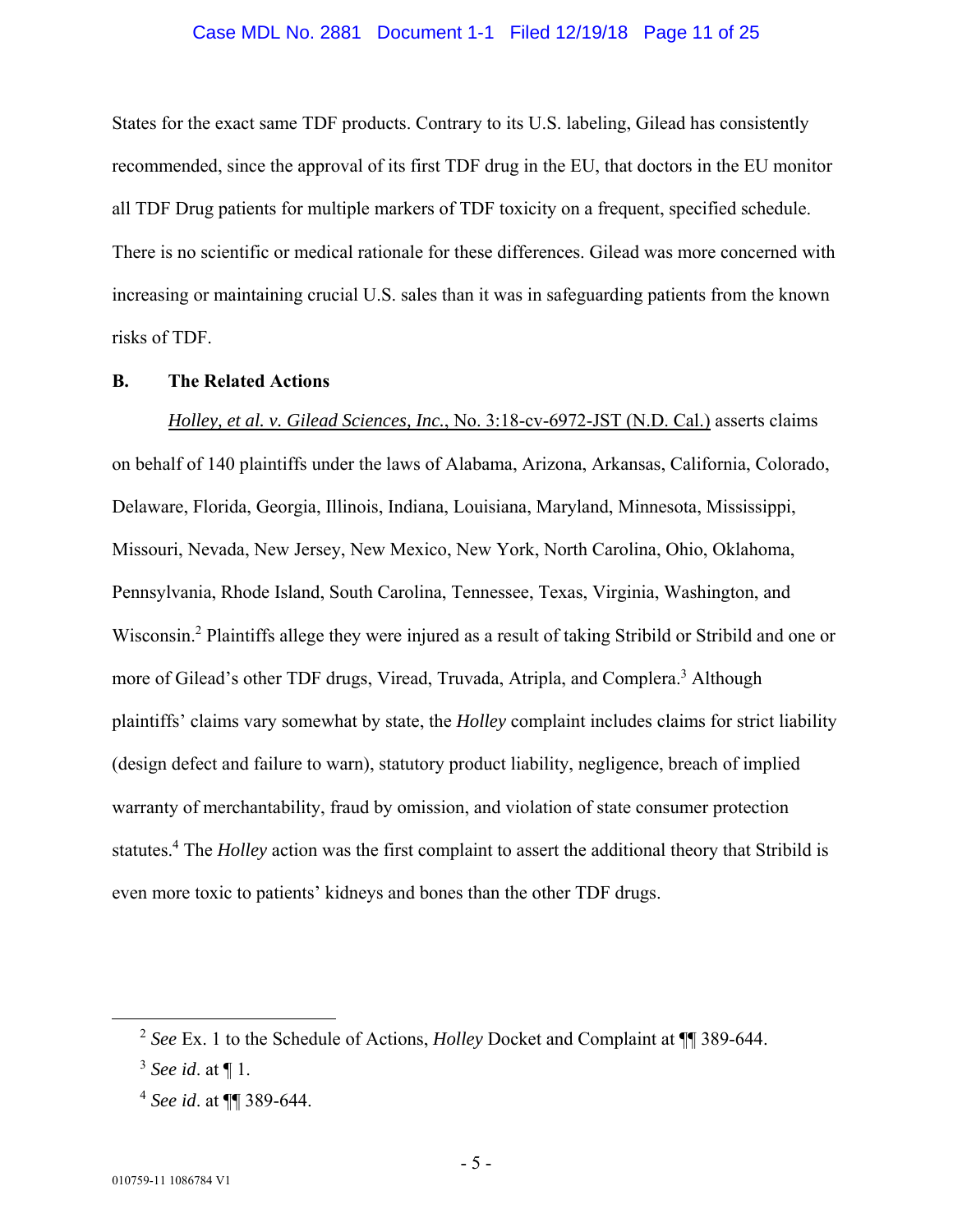#### Case MDL No. 2881 Document 1-1 Filed 12/19/18 Page 11 of 25

States for the exact same TDF products. Contrary to its U.S. labeling, Gilead has consistently recommended, since the approval of its first TDF drug in the EU, that doctors in the EU monitor all TDF Drug patients for multiple markers of TDF toxicity on a frequent, specified schedule. There is no scientific or medical rationale for these differences. Gilead was more concerned with increasing or maintaining crucial U.S. sales than it was in safeguarding patients from the known risks of TDF.

### **B. The Related Actions**

*Holley, et al. v. Gilead Sciences, Inc.*, No. 3:18-cv-6972-JST (N.D. Cal.) asserts claims on behalf of 140 plaintiffs under the laws of Alabama, Arizona, Arkansas, California, Colorado, Delaware, Florida, Georgia, Illinois, Indiana, Louisiana, Maryland, Minnesota, Mississippi, Missouri, Nevada, New Jersey, New Mexico, New York, North Carolina, Ohio, Oklahoma, Pennsylvania, Rhode Island, South Carolina, Tennessee, Texas, Virginia, Washington, and Wisconsin.2 Plaintiffs allege they were injured as a result of taking Stribild or Stribild and one or more of Gilead's other TDF drugs, Viread, Truvada, Atripla, and Complera.<sup>3</sup> Although plaintiffs' claims vary somewhat by state, the *Holley* complaint includes claims for strict liability (design defect and failure to warn), statutory product liability, negligence, breach of implied warranty of merchantability, fraud by omission, and violation of state consumer protection statutes.<sup>4</sup> The *Holley* action was the first complaint to assert the additional theory that Stribild is even more toxic to patients' kidneys and bones than the other TDF drugs.

 <sup>2</sup> *See* Ex. 1 to the Schedule of Actions, *Holley* Docket and Complaint at ¶¶ 389-644.

<sup>3</sup> *See id*. at ¶ 1.

<sup>4</sup> *See id*. at ¶¶ 389-644.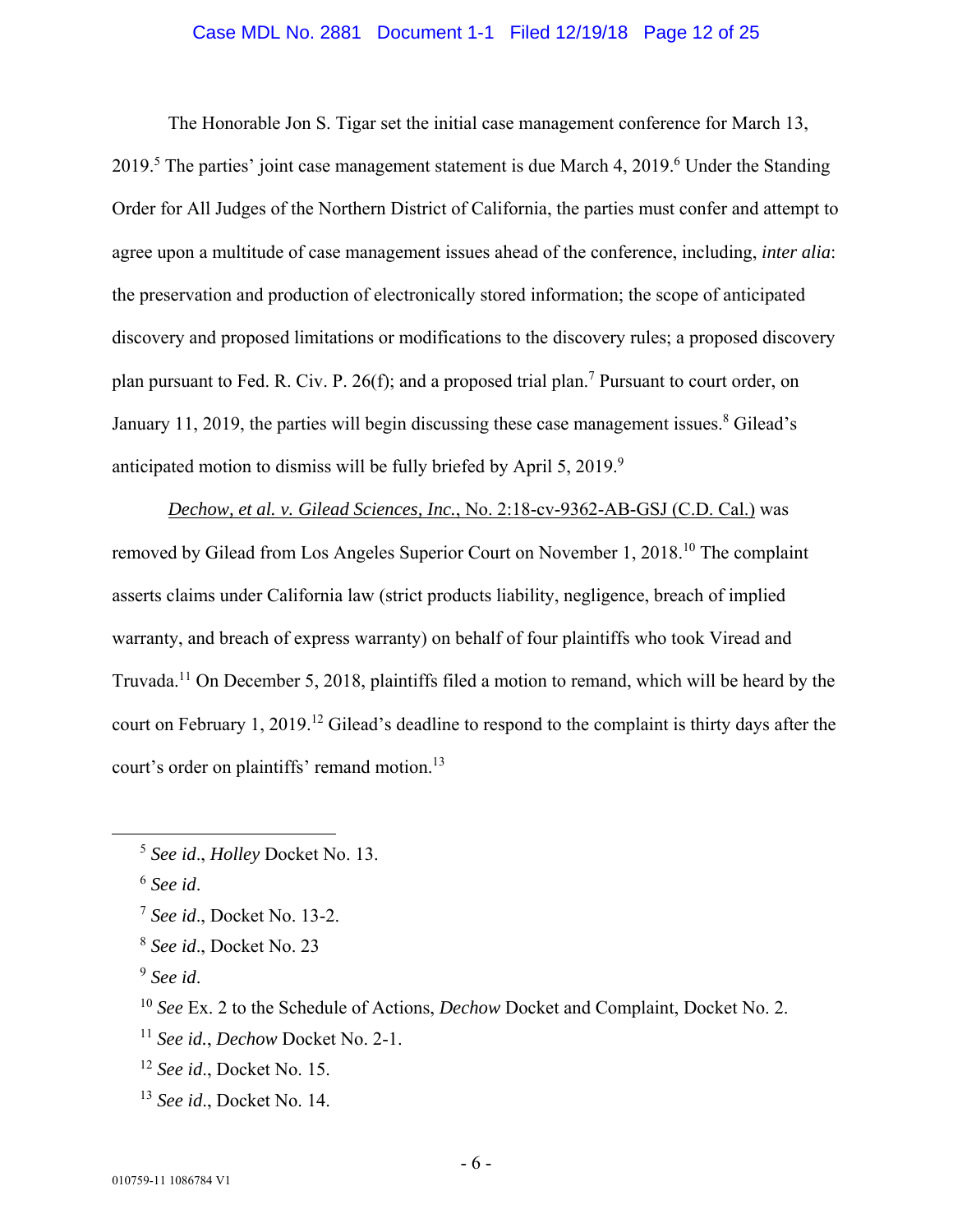### Case MDL No. 2881 Document 1-1 Filed 12/19/18 Page 12 of 25

The Honorable Jon S. Tigar set the initial case management conference for March 13, 2019.<sup>5</sup> The parties' joint case management statement is due March 4, 2019.<sup>6</sup> Under the Standing Order for All Judges of the Northern District of California, the parties must confer and attempt to agree upon a multitude of case management issues ahead of the conference, including, *inter alia*: the preservation and production of electronically stored information; the scope of anticipated discovery and proposed limitations or modifications to the discovery rules; a proposed discovery plan pursuant to Fed. R. Civ. P. 26(f); and a proposed trial plan.<sup>7</sup> Pursuant to court order, on January 11, 2019, the parties will begin discussing these case management issues. $8$  Gilead's anticipated motion to dismiss will be fully briefed by April 5, 2019. $9$ 

*Dechow, et al. v. Gilead Sciences, Inc.*, No. 2:18-cv-9362-AB-GSJ (C.D. Cal.) was removed by Gilead from Los Angeles Superior Court on November 1, 2018.10 The complaint asserts claims under California law (strict products liability, negligence, breach of implied warranty, and breach of express warranty) on behalf of four plaintiffs who took Viread and Truvada.11 On December 5, 2018, plaintiffs filed a motion to remand, which will be heard by the court on February 1, 2019.12 Gilead's deadline to respond to the complaint is thirty days after the court's order on plaintiffs' remand motion.<sup>13</sup>

<sup>13</sup> *See id*., Docket No. 14.

 <sup>5</sup> *See id*., *Holley* Docket No. 13.

<sup>6</sup> *See id*.

<sup>7</sup> *See id*., Docket No. 13-2.

<sup>8</sup> *See id*., Docket No. 23

<sup>9</sup> *See id*.

<sup>10</sup> *See* Ex. 2 to the Schedule of Actions, *Dechow* Docket and Complaint, Docket No. 2.

<sup>11</sup> *See id.*, *Dechow* Docket No. 2-1.

<sup>12</sup> *See id*., Docket No. 15.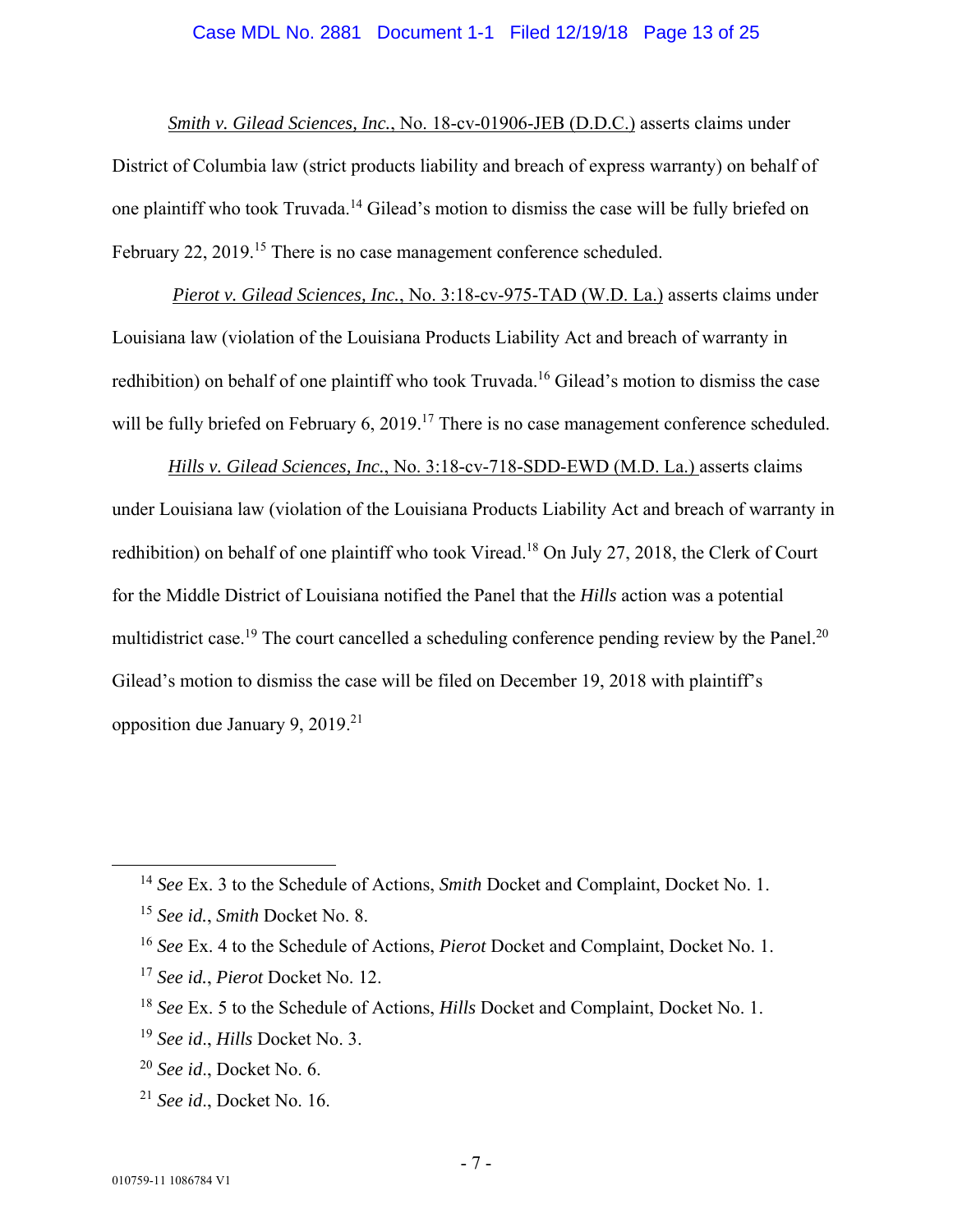### Case MDL No. 2881 Document 1-1 Filed 12/19/18 Page 13 of 25

*Smith v. Gilead Sciences, Inc.*, No. 18-cv-01906-JEB (D.D.C.) asserts claims under District of Columbia law (strict products liability and breach of express warranty) on behalf of one plaintiff who took Truvada.14 Gilead's motion to dismiss the case will be fully briefed on February 22, 2019.<sup>15</sup> There is no case management conference scheduled.

*Pierot v. Gilead Sciences, Inc.*, No. 3:18-cv-975-TAD (W.D. La.) asserts claims under Louisiana law (violation of the Louisiana Products Liability Act and breach of warranty in redhibition) on behalf of one plaintiff who took Truvada.<sup>16</sup> Gilead's motion to dismiss the case will be fully briefed on February 6, 2019.<sup>17</sup> There is no case management conference scheduled.

*Hills v. Gilead Sciences, Inc.*, No. 3:18-cv-718-SDD-EWD (M.D. La.) asserts claims under Louisiana law (violation of the Louisiana Products Liability Act and breach of warranty in redhibition) on behalf of one plaintiff who took Viread.<sup>18</sup> On July 27, 2018, the Clerk of Court for the Middle District of Louisiana notified the Panel that the *Hills* action was a potential multidistrict case.<sup>19</sup> The court cancelled a scheduling conference pending review by the Panel.<sup>20</sup> Gilead's motion to dismiss the case will be filed on December 19, 2018 with plaintiff's opposition due January 9, 2019.21

<sup>21</sup> *See id*., Docket No. 16.

 <sup>14</sup> *See* Ex. 3 to the Schedule of Actions, *Smith* Docket and Complaint, Docket No. 1.

<sup>15</sup> *See id.*, *Smith* Docket No. 8.

<sup>16</sup> *See* Ex. 4 to the Schedule of Actions, *Pierot* Docket and Complaint, Docket No. 1.

<sup>17</sup> *See id.*, *Pierot* Docket No. 12.

<sup>18</sup> *See* Ex. 5 to the Schedule of Actions, *Hills* Docket and Complaint, Docket No. 1.

<sup>19</sup> *See id*., *Hills* Docket No. 3.

<sup>20</sup> *See id*., Docket No. 6.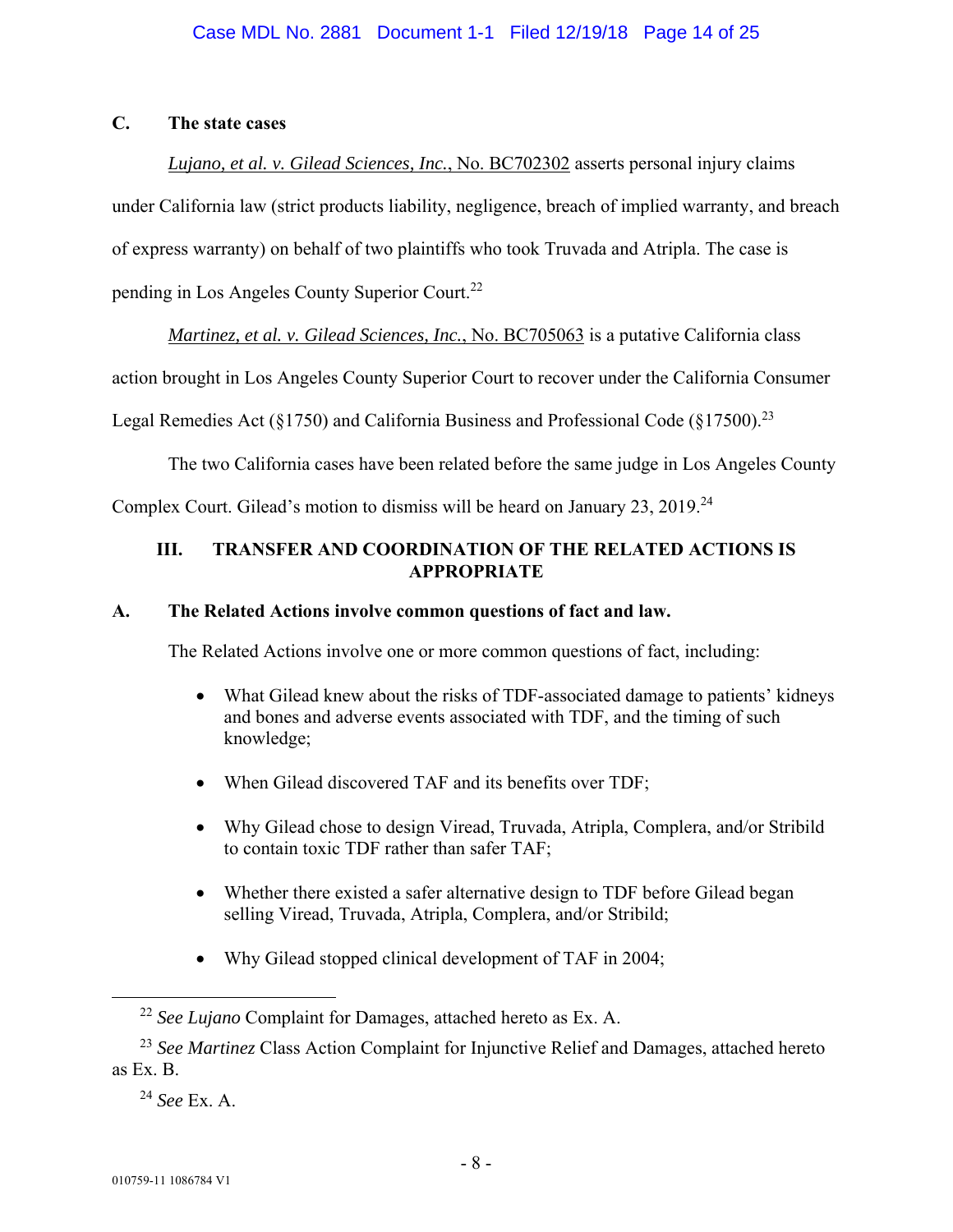# **C. The state cases**

# *Lujano, et al. v. Gilead Sciences, Inc.*, No. BC702302 asserts personal injury claims

under California law (strict products liability, negligence, breach of implied warranty, and breach

of express warranty) on behalf of two plaintiffs who took Truvada and Atripla. The case is

pending in Los Angeles County Superior Court.22

*Martinez, et al. v. Gilead Sciences, Inc.*, No. BC705063 is a putative California class

action brought in Los Angeles County Superior Court to recover under the California Consumer

Legal Remedies Act ( $\S 1750$ ) and California Business and Professional Code ( $\S 17500$ ).<sup>23</sup>

The two California cases have been related before the same judge in Los Angeles County

Complex Court. Gilead's motion to dismiss will be heard on January 23, 2019.24

## **III. TRANSFER AND COORDINATION OF THE RELATED ACTIONS IS APPROPRIATE**

## **A. The Related Actions involve common questions of fact and law.**

The Related Actions involve one or more common questions of fact, including:

- What Gilead knew about the risks of TDF-associated damage to patients' kidneys and bones and adverse events associated with TDF, and the timing of such knowledge;
- When Gilead discovered TAF and its benefits over TDF;
- Why Gilead chose to design Viread, Truvada, Atripla, Complera, and/or Stribild to contain toxic TDF rather than safer TAF;
- Whether there existed a safer alternative design to TDF before Gilead began selling Viread, Truvada, Atripla, Complera, and/or Stribild;
- Why Gilead stopped clinical development of TAF in 2004;

 <sup>22</sup> *See Lujano* Complaint for Damages, attached hereto as Ex. A.

<sup>23</sup> *See Martinez* Class Action Complaint for Injunctive Relief and Damages, attached hereto as Ex. B.

<sup>24</sup> *See* Ex. A.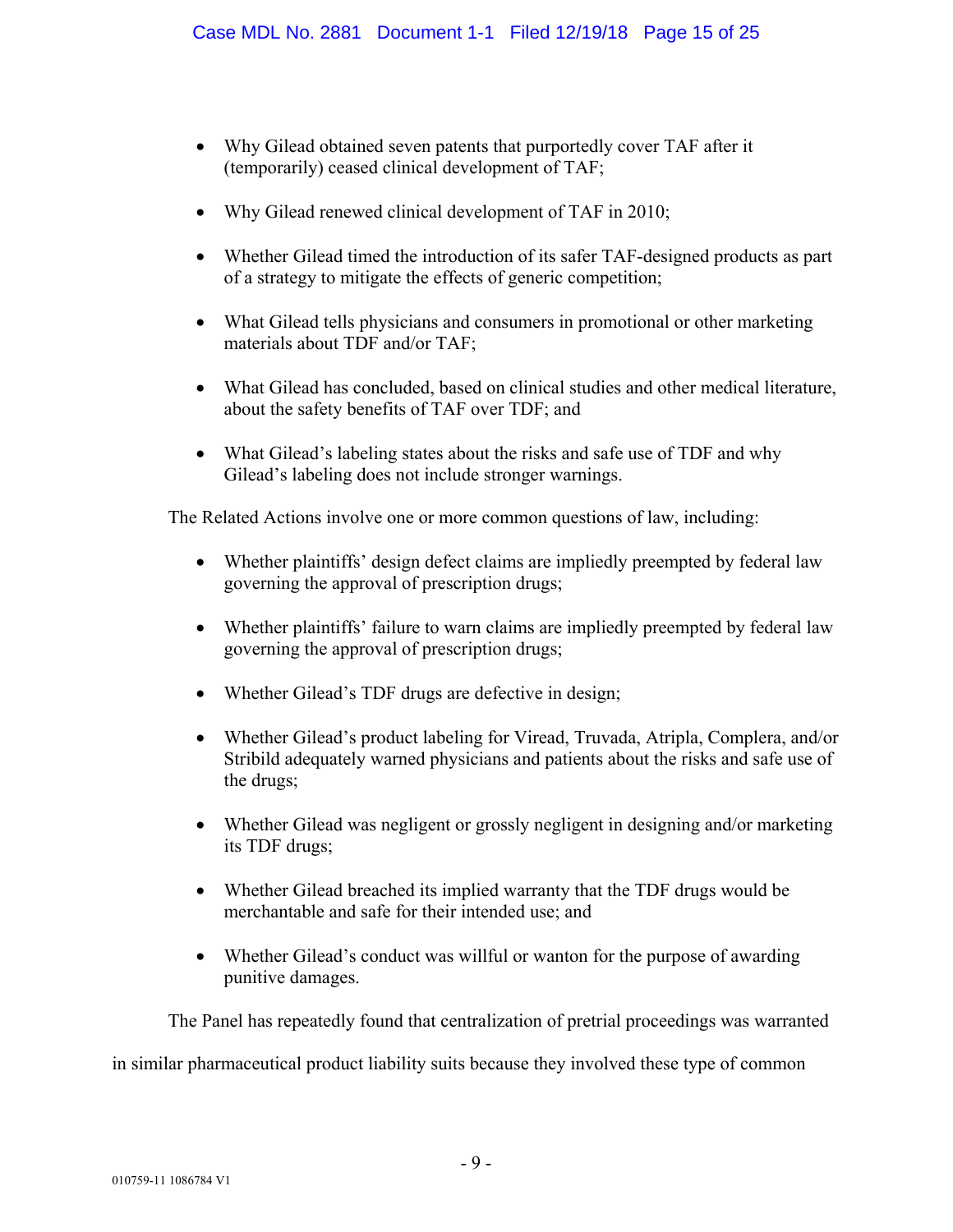- Why Gilead obtained seven patents that purportedly cover TAF after it (temporarily) ceased clinical development of TAF;
- Why Gilead renewed clinical development of TAF in 2010;
- Whether Gilead timed the introduction of its safer TAF-designed products as part of a strategy to mitigate the effects of generic competition;
- What Gilead tells physicians and consumers in promotional or other marketing materials about TDF and/or TAF;
- What Gilead has concluded, based on clinical studies and other medical literature, about the safety benefits of TAF over TDF; and
- What Gilead's labeling states about the risks and safe use of TDF and why Gilead's labeling does not include stronger warnings.

The Related Actions involve one or more common questions of law, including:

- Whether plaintiffs' design defect claims are impliedly preempted by federal law governing the approval of prescription drugs;
- Whether plaintiffs' failure to warn claims are impliedly preempted by federal law governing the approval of prescription drugs;
- Whether Gilead's TDF drugs are defective in design;
- Whether Gilead's product labeling for Viread, Truvada, Atripla, Complera, and/or Stribild adequately warned physicians and patients about the risks and safe use of the drugs;
- Whether Gilead was negligent or grossly negligent in designing and/or marketing its TDF drugs;
- Whether Gilead breached its implied warranty that the TDF drugs would be merchantable and safe for their intended use; and
- Whether Gilead's conduct was willful or wanton for the purpose of awarding punitive damages.

The Panel has repeatedly found that centralization of pretrial proceedings was warranted

in similar pharmaceutical product liability suits because they involved these type of common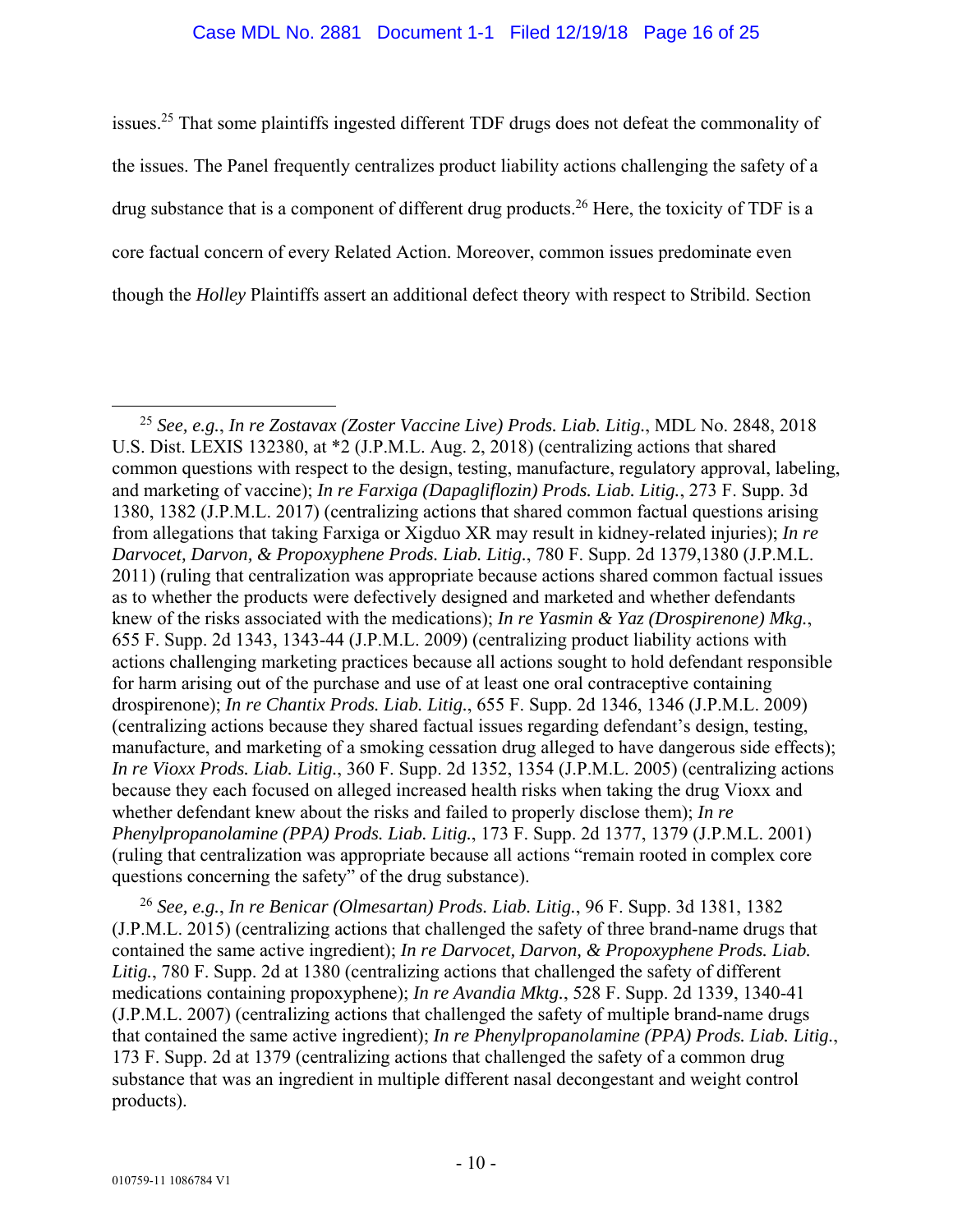#### Case MDL No. 2881 Document 1-1 Filed 12/19/18 Page 16 of 25

issues.25 That some plaintiffs ingested different TDF drugs does not defeat the commonality of the issues. The Panel frequently centralizes product liability actions challenging the safety of a drug substance that is a component of different drug products.26 Here, the toxicity of TDF is a core factual concern of every Related Action. Moreover, common issues predominate even though the *Holley* Plaintiffs assert an additional defect theory with respect to Stribild. Section

<sup>26</sup> *See, e.g.*, *In re Benicar (Olmesartan) Prods. Liab. Litig.*, 96 F. Supp. 3d 1381, 1382 (J.P.M.L. 2015) (centralizing actions that challenged the safety of three brand-name drugs that contained the same active ingredient); *In re Darvocet, Darvon, & Propoxyphene Prods. Liab.*  Litig., 780 F. Supp. 2d at 1380 (centralizing actions that challenged the safety of different medications containing propoxyphene); *In re Avandia Mktg.*, 528 F. Supp. 2d 1339, 1340-41 (J.P.M.L. 2007) (centralizing actions that challenged the safety of multiple brand-name drugs that contained the same active ingredient); *In re Phenylpropanolamine (PPA) Prods. Liab. Litig.*, 173 F. Supp. 2d at 1379 (centralizing actions that challenged the safety of a common drug substance that was an ingredient in multiple different nasal decongestant and weight control products).

 <sup>25</sup> *See, e.g.*, *In re Zostavax (Zoster Vaccine Live) Prods. Liab. Litig.*, MDL No. 2848, 2018 U.S. Dist. LEXIS 132380, at \*2 (J.P.M.L. Aug. 2, 2018) (centralizing actions that shared common questions with respect to the design, testing, manufacture, regulatory approval, labeling, and marketing of vaccine); *In re Farxiga (Dapagliflozin) Prods. Liab. Litig.*, 273 F. Supp. 3d 1380, 1382 (J.P.M.L. 2017) (centralizing actions that shared common factual questions arising from allegations that taking Farxiga or Xigduo XR may result in kidney-related injuries); *In re Darvocet, Darvon, & Propoxyphene Prods. Liab. Litig.*, 780 F. Supp. 2d 1379,1380 (J.P.M.L. 2011) (ruling that centralization was appropriate because actions shared common factual issues as to whether the products were defectively designed and marketed and whether defendants knew of the risks associated with the medications); *In re Yasmin & Yaz (Drospirenone) Mkg.*, 655 F. Supp. 2d 1343, 1343-44 (J.P.M.L. 2009) (centralizing product liability actions with actions challenging marketing practices because all actions sought to hold defendant responsible for harm arising out of the purchase and use of at least one oral contraceptive containing drospirenone); *In re Chantix Prods. Liab. Litig.*, 655 F. Supp. 2d 1346, 1346 (J.P.M.L. 2009) (centralizing actions because they shared factual issues regarding defendant's design, testing, manufacture, and marketing of a smoking cessation drug alleged to have dangerous side effects); *In re Vioxx Prods. Liab. Litig.*, 360 F. Supp. 2d 1352, 1354 (J.P.M.L. 2005) (centralizing actions because they each focused on alleged increased health risks when taking the drug Vioxx and whether defendant knew about the risks and failed to properly disclose them); *In re Phenylpropanolamine (PPA) Prods. Liab. Litig.*, 173 F. Supp. 2d 1377, 1379 (J.P.M.L. 2001) (ruling that centralization was appropriate because all actions "remain rooted in complex core questions concerning the safety" of the drug substance).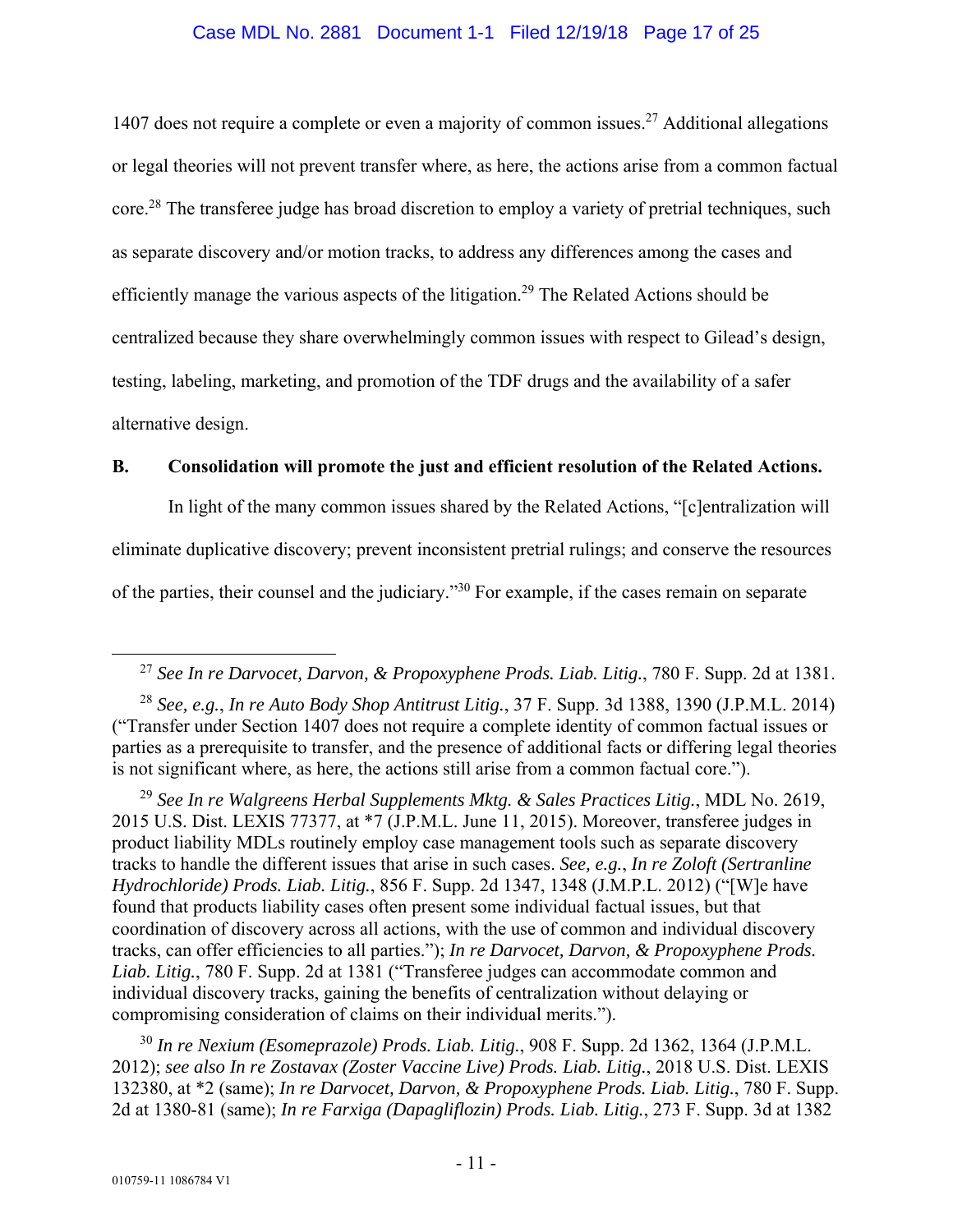#### Case MDL No. 2881 Document 1-1 Filed 12/19/18 Page 17 of 25

1407 does not require a complete or even a majority of common issues.<sup>27</sup> Additional allegations or legal theories will not prevent transfer where, as here, the actions arise from a common factual core.<sup>28</sup> The transferee judge has broad discretion to employ a variety of pretrial techniques, such as separate discovery and/or motion tracks, to address any differences among the cases and efficiently manage the various aspects of the litigation.<sup>29</sup> The Related Actions should be centralized because they share overwhelmingly common issues with respect to Gilead's design, testing, labeling, marketing, and promotion of the TDF drugs and the availability of a safer alternative design.

### **B. Consolidation will promote the just and efficient resolution of the Related Actions.**

In light of the many common issues shared by the Related Actions, "[c]entralization will eliminate duplicative discovery; prevent inconsistent pretrial rulings; and conserve the resources of the parties, their counsel and the judiciary."30 For example, if the cases remain on separate

<sup>30</sup> *In re Nexium (Esomeprazole) Prods. Liab. Litig.*, 908 F. Supp. 2d 1362, 1364 (J.P.M.L. 2012); *see also In re Zostavax (Zoster Vaccine Live) Prods. Liab. Litig.*, 2018 U.S. Dist. LEXIS 132380, at \*2 (same); *In re Darvocet, Darvon, & Propoxyphene Prods. Liab. Litig.*, 780 F. Supp. 2d at 1380-81 (same); *In re Farxiga (Dapagliflozin) Prods. Liab. Litig.*, 273 F. Supp. 3d at 1382

 <sup>27</sup> *See In re Darvocet, Darvon, & Propoxyphene Prods. Liab. Litig.*, 780 F. Supp. 2d at 1381.

<sup>28</sup> *See, e.g.*, *In re Auto Body Shop Antitrust Litig.*, 37 F. Supp. 3d 1388, 1390 (J.P.M.L. 2014) ("Transfer under Section 1407 does not require a complete identity of common factual issues or parties as a prerequisite to transfer, and the presence of additional facts or differing legal theories is not significant where, as here, the actions still arise from a common factual core.").

<sup>29</sup> *See In re Walgreens Herbal Supplements Mktg. & Sales Practices Litig.*, MDL No. 2619, 2015 U.S. Dist. LEXIS 77377, at \*7 (J.P.M.L. June 11, 2015). Moreover, transferee judges in product liability MDLs routinely employ case management tools such as separate discovery tracks to handle the different issues that arise in such cases. *See, e.g.*, *In re Zoloft (Sertranline Hydrochloride) Prods. Liab. Litig.*, 856 F. Supp. 2d 1347, 1348 (J.M.P.L. 2012) ("[W]e have found that products liability cases often present some individual factual issues, but that coordination of discovery across all actions, with the use of common and individual discovery tracks, can offer efficiencies to all parties."); *In re Darvocet, Darvon, & Propoxyphene Prods. Liab. Litig.*, 780 F. Supp. 2d at 1381 ("Transferee judges can accommodate common and individual discovery tracks, gaining the benefits of centralization without delaying or compromising consideration of claims on their individual merits.").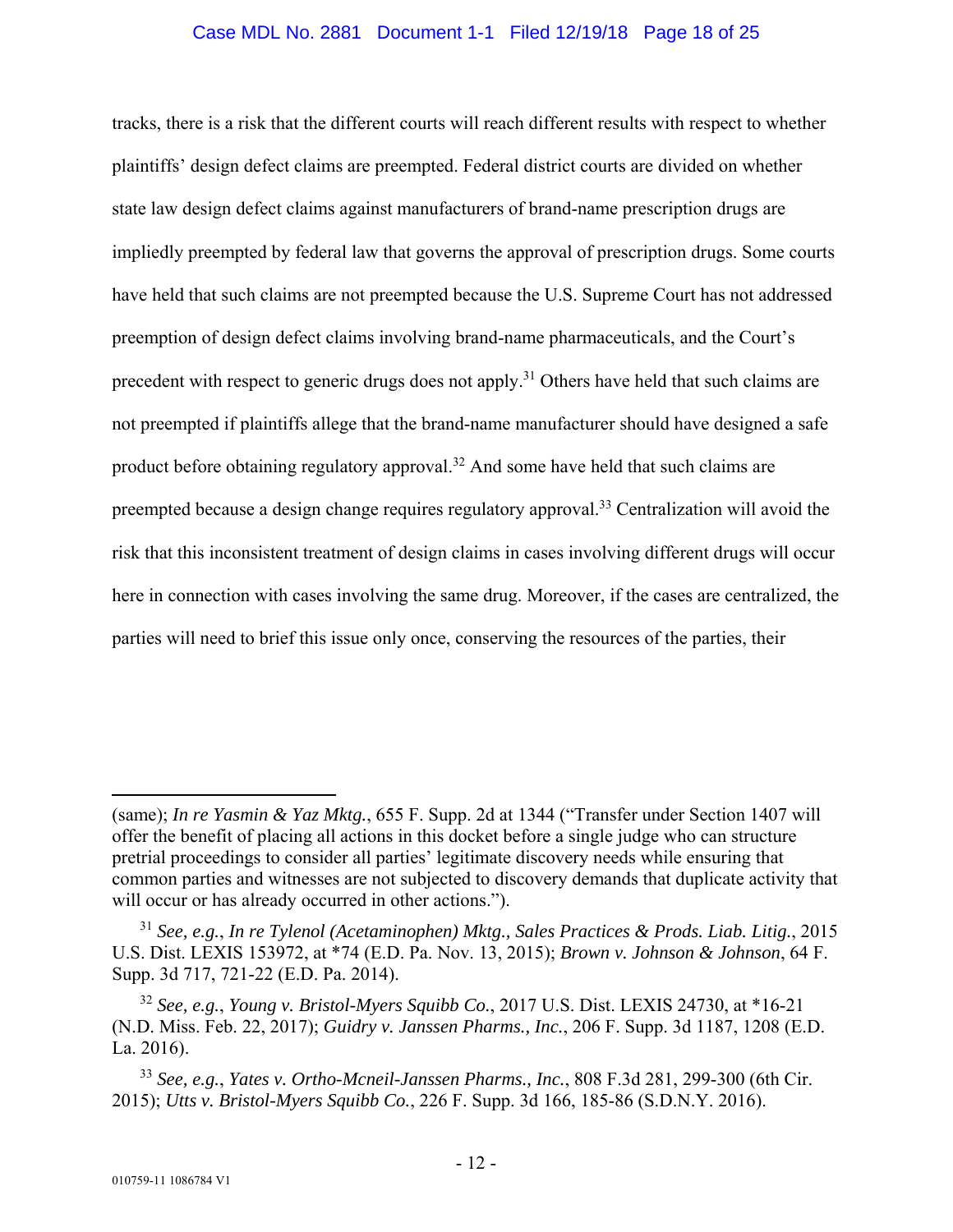#### Case MDL No. 2881 Document 1-1 Filed 12/19/18 Page 18 of 25

tracks, there is a risk that the different courts will reach different results with respect to whether plaintiffs' design defect claims are preempted. Federal district courts are divided on whether state law design defect claims against manufacturers of brand-name prescription drugs are impliedly preempted by federal law that governs the approval of prescription drugs. Some courts have held that such claims are not preempted because the U.S. Supreme Court has not addressed preemption of design defect claims involving brand-name pharmaceuticals, and the Court's precedent with respect to generic drugs does not apply.<sup>31</sup> Others have held that such claims are not preempted if plaintiffs allege that the brand-name manufacturer should have designed a safe product before obtaining regulatory approval.<sup>32</sup> And some have held that such claims are preempted because a design change requires regulatory approval.<sup>33</sup> Centralization will avoid the risk that this inconsistent treatment of design claims in cases involving different drugs will occur here in connection with cases involving the same drug. Moreover, if the cases are centralized, the parties will need to brief this issue only once, conserving the resources of the parties, their

 $\overline{a}$ 

<sup>(</sup>same); *In re Yasmin & Yaz Mktg.*, 655 F. Supp. 2d at 1344 ("Transfer under Section 1407 will offer the benefit of placing all actions in this docket before a single judge who can structure pretrial proceedings to consider all parties' legitimate discovery needs while ensuring that common parties and witnesses are not subjected to discovery demands that duplicate activity that will occur or has already occurred in other actions.").

<sup>31</sup> *See, e.g.*, *In re Tylenol (Acetaminophen) Mktg., Sales Practices & Prods. Liab. Litig.*, 2015 U.S. Dist. LEXIS 153972, at \*74 (E.D. Pa. Nov. 13, 2015); *Brown v. Johnson & Johnson*, 64 F. Supp. 3d 717, 721-22 (E.D. Pa. 2014).

<sup>32</sup> *See, e.g.*, *Young v. Bristol-Myers Squibb Co.*, 2017 U.S. Dist. LEXIS 24730, at \*16-21 (N.D. Miss. Feb. 22, 2017); *Guidry v. Janssen Pharms., Inc.*, 206 F. Supp. 3d 1187, 1208 (E.D. La. 2016).

<sup>33</sup> *See, e.g.*, *Yates v. Ortho-Mcneil-Janssen Pharms., Inc.*, 808 F.3d 281, 299-300 (6th Cir. 2015); *Utts v. Bristol-Myers Squibb Co.*, 226 F. Supp. 3d 166, 185-86 (S.D.N.Y. 2016).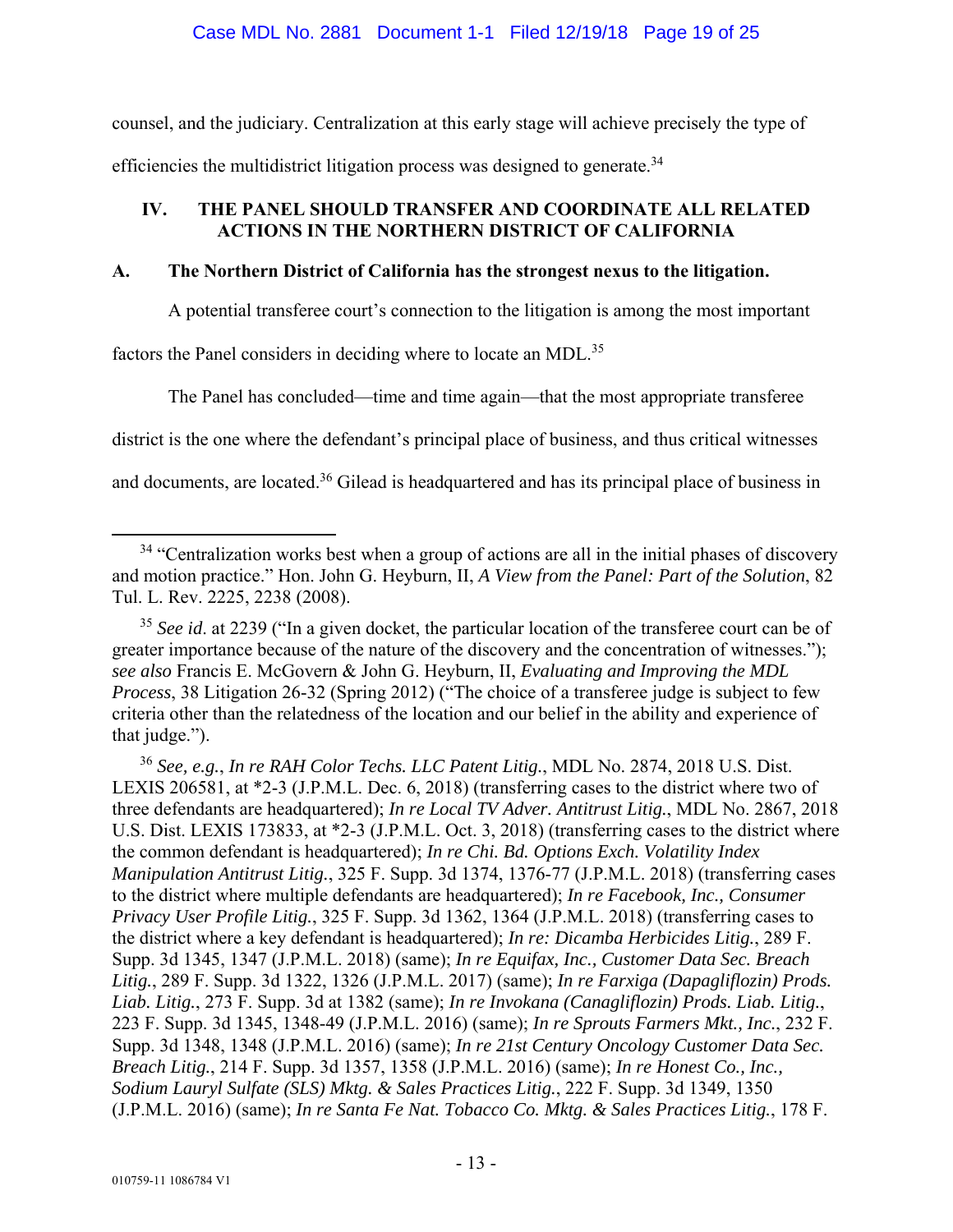#### Case MDL No. 2881 Document 1-1 Filed 12/19/18 Page 19 of 25

counsel, and the judiciary. Centralization at this early stage will achieve precisely the type of efficiencies the multidistrict litigation process was designed to generate.<sup>34</sup>

## **IV. THE PANEL SHOULD TRANSFER AND COORDINATE ALL RELATED ACTIONS IN THE NORTHERN DISTRICT OF CALIFORNIA**

## **A. The Northern District of California has the strongest nexus to the litigation.**

A potential transferee court's connection to the litigation is among the most important

factors the Panel considers in deciding where to locate an MDL.<sup>35</sup>

The Panel has concluded—time and time again—that the most appropriate transferee

district is the one where the defendant's principal place of business, and thus critical witnesses

and documents, are located.<sup>36</sup> Gilead is headquartered and has its principal place of business in

<sup>35</sup> See id. at 2239 ("In a given docket, the particular location of the transferee court can be of greater importance because of the nature of the discovery and the concentration of witnesses."); *see also* Francis E. McGovern & John G. Heyburn, II, *Evaluating and Improving the MDL Process*, 38 Litigation 26-32 (Spring 2012) ("The choice of a transferee judge is subject to few criteria other than the relatedness of the location and our belief in the ability and experience of that judge.").

<sup>36</sup> *See, e.g.*, *In re RAH Color Techs. LLC Patent Litig.*, MDL No. 2874, 2018 U.S. Dist. LEXIS 206581, at \*2-3 (J.P.M.L. Dec. 6, 2018) (transferring cases to the district where two of three defendants are headquartered); *In re Local TV Adver. Antitrust Litig.*, MDL No. 2867, 2018 U.S. Dist. LEXIS 173833, at \*2-3 (J.P.M.L. Oct. 3, 2018) (transferring cases to the district where the common defendant is headquartered); *In re Chi. Bd. Options Exch. Volatility Index Manipulation Antitrust Litig.*, 325 F. Supp. 3d 1374, 1376-77 (J.P.M.L. 2018) (transferring cases to the district where multiple defendants are headquartered); *In re Facebook, Inc., Consumer Privacy User Profile Litig.*, 325 F. Supp. 3d 1362, 1364 (J.P.M.L. 2018) (transferring cases to the district where a key defendant is headquartered); *In re: Dicamba Herbicides Litig.*, 289 F. Supp. 3d 1345, 1347 (J.P.M.L. 2018) (same); *In re Equifax, Inc., Customer Data Sec. Breach Litig.*, 289 F. Supp. 3d 1322, 1326 (J.P.M.L. 2017) (same); *In re Farxiga (Dapagliflozin) Prods. Liab. Litig.*, 273 F. Supp. 3d at 1382 (same); *In re Invokana (Canagliflozin) Prods. Liab. Litig.*, 223 F. Supp. 3d 1345, 1348-49 (J.P.M.L. 2016) (same); *In re Sprouts Farmers Mkt., Inc.*, 232 F. Supp. 3d 1348, 1348 (J.P.M.L. 2016) (same); *In re 21st Century Oncology Customer Data Sec. Breach Litig.*, 214 F. Supp. 3d 1357, 1358 (J.P.M.L. 2016) (same); *In re Honest Co., Inc., Sodium Lauryl Sulfate (SLS) Mktg. & Sales Practices Litig.*, 222 F. Supp. 3d 1349, 1350 (J.P.M.L. 2016) (same); *In re Santa Fe Nat. Tobacco Co. Mktg. & Sales Practices Litig.*, 178 F.

<sup>&</sup>lt;sup>34</sup> "Centralization works best when a group of actions are all in the initial phases of discovery and motion practice." Hon. John G. Heyburn, II, *A View from the Panel: Part of the Solution*, 82 Tul. L. Rev. 2225, 2238 (2008).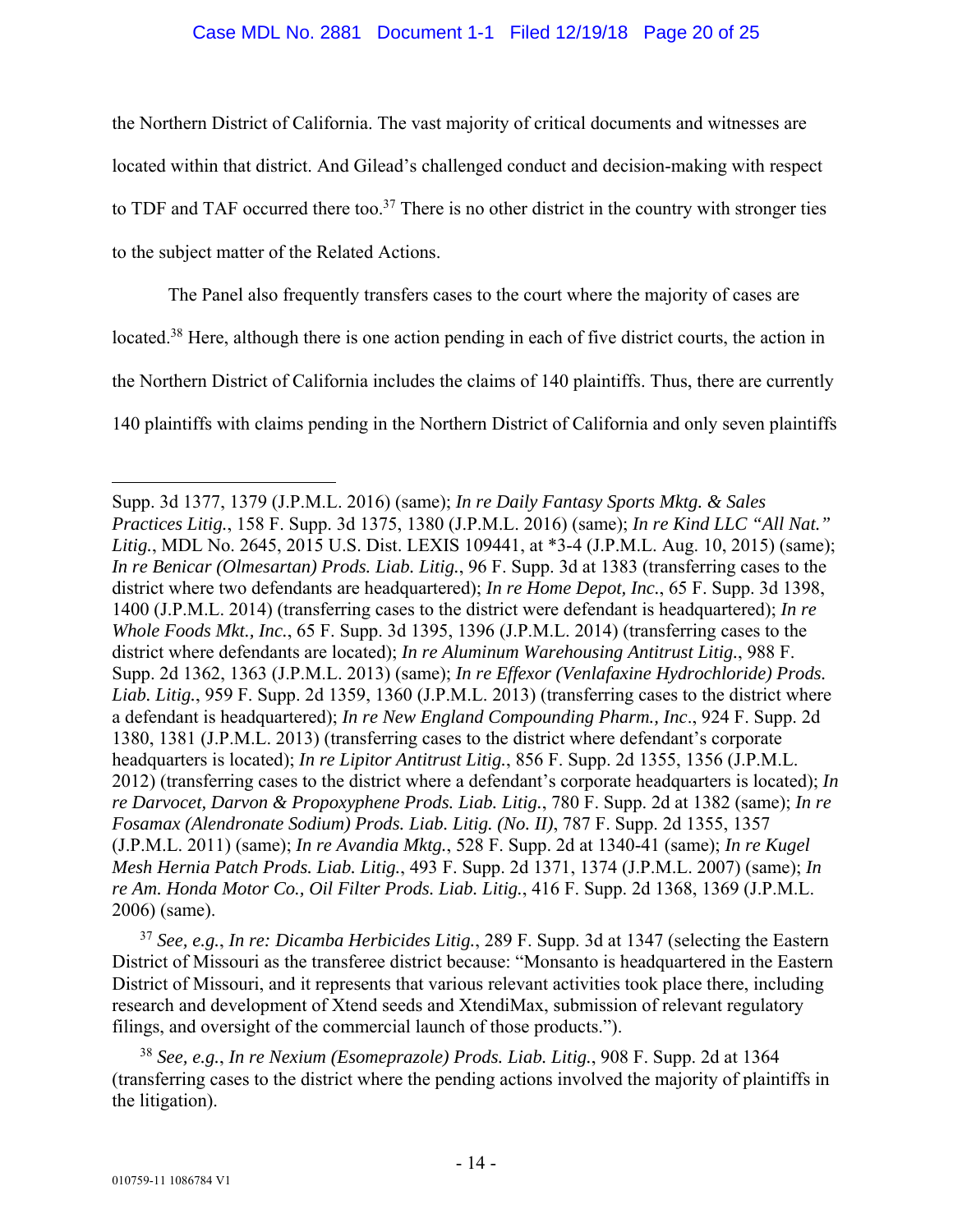#### Case MDL No. 2881 Document 1-1 Filed 12/19/18 Page 20 of 25

the Northern District of California. The vast majority of critical documents and witnesses are located within that district. And Gilead's challenged conduct and decision-making with respect to TDF and TAF occurred there too.<sup>37</sup> There is no other district in the country with stronger ties to the subject matter of the Related Actions.

The Panel also frequently transfers cases to the court where the majority of cases are located.38 Here, although there is one action pending in each of five district courts, the action in the Northern District of California includes the claims of 140 plaintiffs. Thus, there are currently 140 plaintiffs with claims pending in the Northern District of California and only seven plaintiffs

<sup>37</sup> *See, e.g.*, *In re: Dicamba Herbicides Litig.*, 289 F. Supp. 3d at 1347 (selecting the Eastern District of Missouri as the transferee district because: "Monsanto is headquartered in the Eastern District of Missouri, and it represents that various relevant activities took place there, including research and development of Xtend seeds and XtendiMax, submission of relevant regulatory filings, and oversight of the commercial launch of those products.").

<sup>38</sup> *See, e.g.*, *In re Nexium (Esomeprazole) Prods. Liab. Litig.*, 908 F. Supp. 2d at 1364 (transferring cases to the district where the pending actions involved the majority of plaintiffs in the litigation).

 $\overline{a}$ 

Supp. 3d 1377, 1379 (J.P.M.L. 2016) (same); *In re Daily Fantasy Sports Mktg. & Sales Practices Litig.*, 158 F. Supp. 3d 1375, 1380 (J.P.M.L. 2016) (same); *In re Kind LLC "All Nat." Litig.*, MDL No. 2645, 2015 U.S. Dist. LEXIS 109441, at \*3-4 (J.P.M.L. Aug. 10, 2015) (same); *In re Benicar (Olmesartan) Prods. Liab. Litig.*, 96 F. Supp. 3d at 1383 (transferring cases to the district where two defendants are headquartered); *In re Home Depot, Inc.*, 65 F. Supp. 3d 1398, 1400 (J.P.M.L. 2014) (transferring cases to the district were defendant is headquartered); *In re Whole Foods Mkt., Inc.*, 65 F. Supp. 3d 1395, 1396 (J.P.M.L. 2014) (transferring cases to the district where defendants are located); *In re Aluminum Warehousing Antitrust Litig.*, 988 F. Supp. 2d 1362, 1363 (J.P.M.L. 2013) (same); *In re Effexor (Venlafaxine Hydrochloride) Prods. Liab. Litig.*, 959 F. Supp. 2d 1359, 1360 (J.P.M.L. 2013) (transferring cases to the district where a defendant is headquartered); *In re New England Compounding Pharm., Inc*., 924 F. Supp. 2d 1380, 1381 (J.P.M.L. 2013) (transferring cases to the district where defendant's corporate headquarters is located); *In re Lipitor Antitrust Litig.*, 856 F. Supp. 2d 1355, 1356 (J.P.M.L. 2012) (transferring cases to the district where a defendant's corporate headquarters is located); *In re Darvocet, Darvon & Propoxyphene Prods. Liab. Litig.*, 780 F. Supp. 2d at 1382 (same); *In re Fosamax (Alendronate Sodium) Prods. Liab. Litig. (No. II)*, 787 F. Supp. 2d 1355, 1357 (J.P.M.L. 2011) (same); *In re Avandia Mktg.*, 528 F. Supp. 2d at 1340-41 (same); *In re Kugel Mesh Hernia Patch Prods. Liab. Litig.*, 493 F. Supp. 2d 1371, 1374 (J.P.M.L. 2007) (same); *In re Am. Honda Motor Co., Oil Filter Prods. Liab. Litig.*, 416 F. Supp. 2d 1368, 1369 (J.P.M.L. 2006) (same).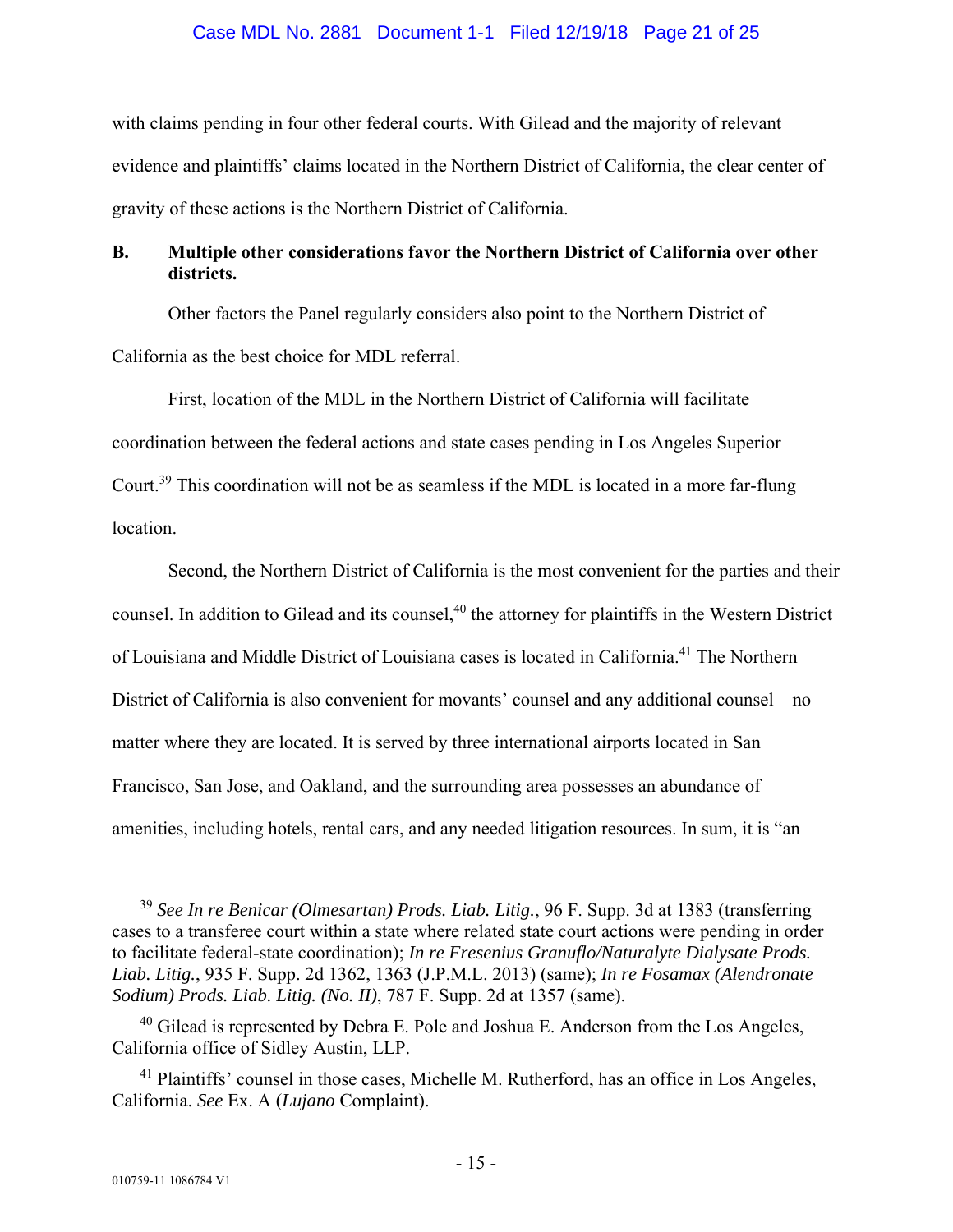#### Case MDL No. 2881 Document 1-1 Filed 12/19/18 Page 21 of 25

with claims pending in four other federal courts. With Gilead and the majority of relevant evidence and plaintiffs' claims located in the Northern District of California, the clear center of gravity of these actions is the Northern District of California.

# **B. Multiple other considerations favor the Northern District of California over other districts.**

Other factors the Panel regularly considers also point to the Northern District of California as the best choice for MDL referral.

First, location of the MDL in the Northern District of California will facilitate coordination between the federal actions and state cases pending in Los Angeles Superior Court.39 This coordination will not be as seamless if the MDL is located in a more far-flung location.

Second, the Northern District of California is the most convenient for the parties and their counsel. In addition to Gilead and its counsel,<sup>40</sup> the attorney for plaintiffs in the Western District of Louisiana and Middle District of Louisiana cases is located in California.41 The Northern District of California is also convenient for movants' counsel and any additional counsel – no matter where they are located. It is served by three international airports located in San Francisco, San Jose, and Oakland, and the surrounding area possesses an abundance of amenities, including hotels, rental cars, and any needed litigation resources. In sum, it is "an

 <sup>39</sup> *See In re Benicar (Olmesartan) Prods. Liab. Litig.*, 96 F. Supp. 3d at 1383 (transferring cases to a transferee court within a state where related state court actions were pending in order to facilitate federal-state coordination); *In re Fresenius Granuflo/Naturalyte Dialysate Prods. Liab. Litig.*, 935 F. Supp. 2d 1362, 1363 (J.P.M.L. 2013) (same); *In re Fosamax (Alendronate Sodium) Prods. Liab. Litig. (No. II)*, 787 F. Supp. 2d at 1357 (same).

 $40$  Gilead is represented by Debra E. Pole and Joshua E. Anderson from the Los Angeles, California office of Sidley Austin, LLP.

<sup>&</sup>lt;sup>41</sup> Plaintiffs' counsel in those cases, Michelle M. Rutherford, has an office in Los Angeles, California. *See* Ex. A (*Lujano* Complaint).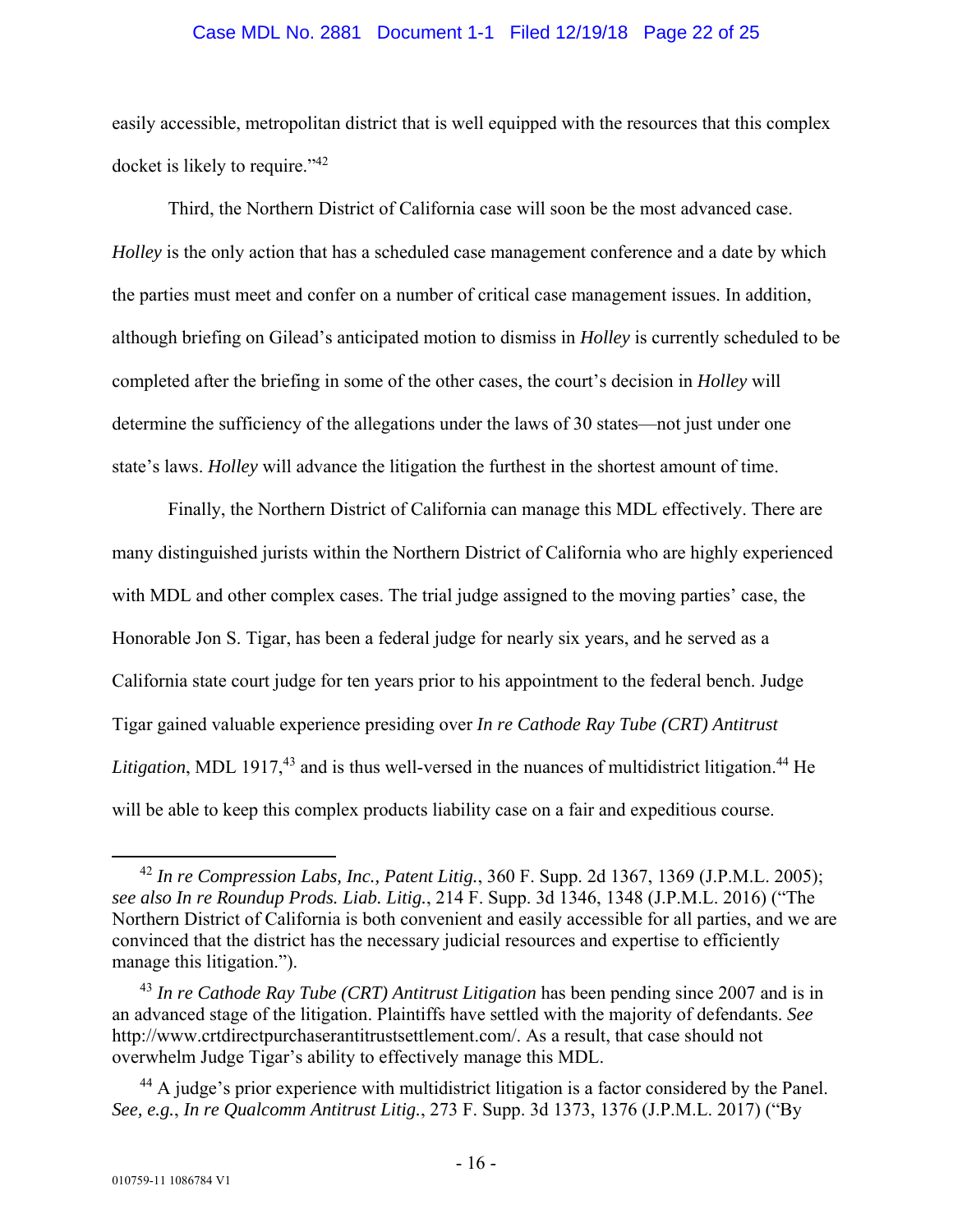#### Case MDL No. 2881 Document 1-1 Filed 12/19/18 Page 22 of 25

easily accessible, metropolitan district that is well equipped with the resources that this complex docket is likely to require."42

Third, the Northern District of California case will soon be the most advanced case. *Holley* is the only action that has a scheduled case management conference and a date by which the parties must meet and confer on a number of critical case management issues. In addition, although briefing on Gilead's anticipated motion to dismiss in *Holley* is currently scheduled to be completed after the briefing in some of the other cases, the court's decision in *Holley* will determine the sufficiency of the allegations under the laws of 30 states—not just under one state's laws. *Holley* will advance the litigation the furthest in the shortest amount of time.

Finally, the Northern District of California can manage this MDL effectively. There are many distinguished jurists within the Northern District of California who are highly experienced with MDL and other complex cases. The trial judge assigned to the moving parties' case, the Honorable Jon S. Tigar, has been a federal judge for nearly six years, and he served as a California state court judge for ten years prior to his appointment to the federal bench. Judge Tigar gained valuable experience presiding over *In re Cathode Ray Tube (CRT) Antitrust Litigation*, MDL 1917,<sup>43</sup> and is thus well-versed in the nuances of multidistrict litigation.<sup>44</sup> He will be able to keep this complex products liability case on a fair and expeditious course.

 <sup>42</sup> *In re Compression Labs, Inc., Patent Litig.*, 360 F. Supp. 2d 1367, 1369 (J.P.M.L. 2005); *see also In re Roundup Prods. Liab. Litig.*, 214 F. Supp. 3d 1346, 1348 (J.P.M.L. 2016) ("The Northern District of California is both convenient and easily accessible for all parties, and we are convinced that the district has the necessary judicial resources and expertise to efficiently manage this litigation.").

<sup>43</sup> *In re Cathode Ray Tube (CRT) Antitrust Litigation* has been pending since 2007 and is in an advanced stage of the litigation. Plaintiffs have settled with the majority of defendants. *See*  http://www.crtdirectpurchaserantitrustsettlement.com/. As a result, that case should not overwhelm Judge Tigar's ability to effectively manage this MDL.

<sup>&</sup>lt;sup>44</sup> A judge's prior experience with multidistrict litigation is a factor considered by the Panel. *See, e.g.*, *In re Qualcomm Antitrust Litig.*, 273 F. Supp. 3d 1373, 1376 (J.P.M.L. 2017) ("By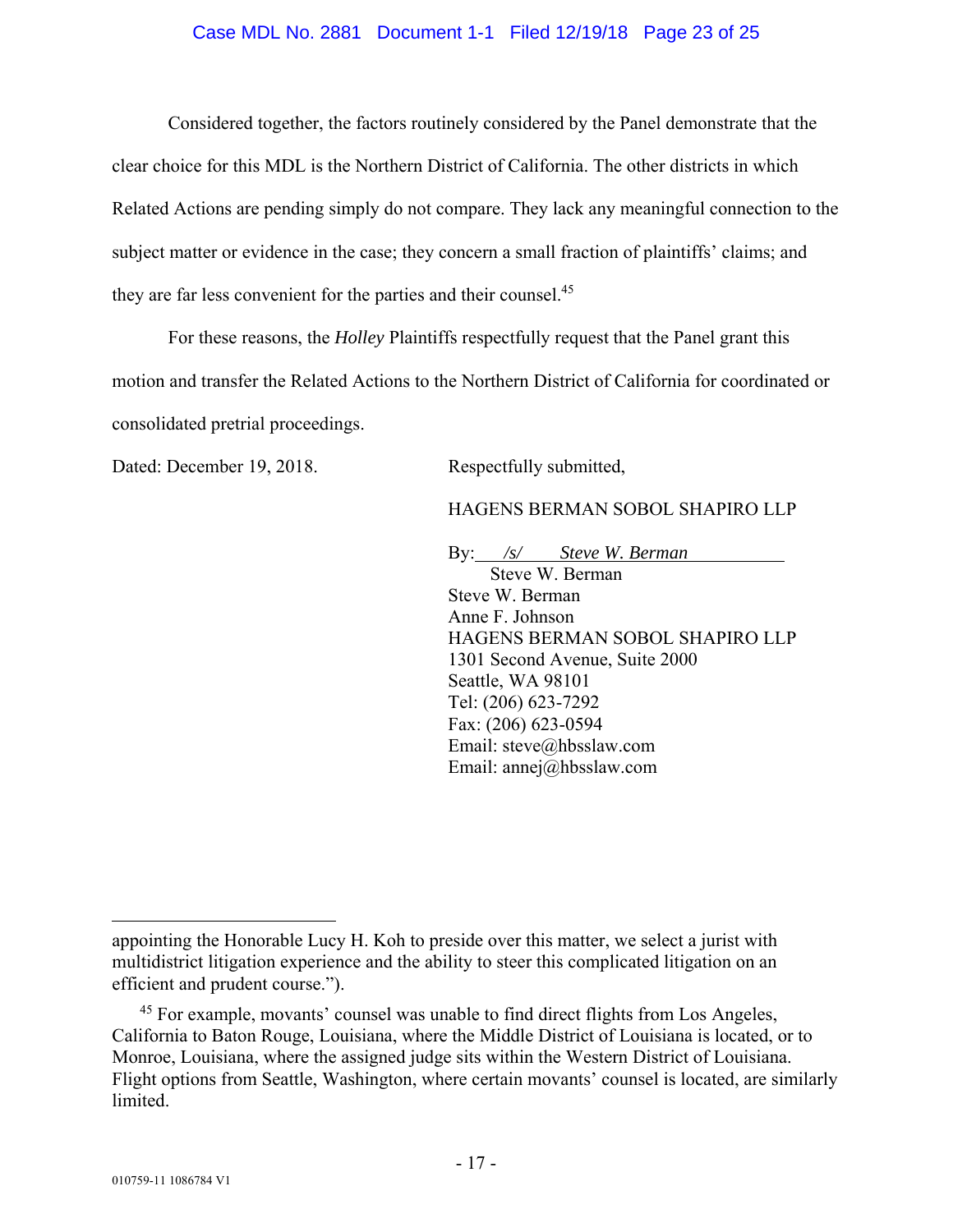#### Case MDL No. 2881 Document 1-1 Filed 12/19/18 Page 23 of 25

Considered together, the factors routinely considered by the Panel demonstrate that the clear choice for this MDL is the Northern District of California. The other districts in which Related Actions are pending simply do not compare. They lack any meaningful connection to the subject matter or evidence in the case; they concern a small fraction of plaintiffs' claims; and they are far less convenient for the parties and their counsel.45

For these reasons, the *Holley* Plaintiffs respectfully request that the Panel grant this motion and transfer the Related Actions to the Northern District of California for coordinated or consolidated pretrial proceedings.

Dated: December 19, 2018. Respectfully submitted,

HAGENS BERMAN SOBOL SHAPIRO LLP

By: */s/ Steve W. Berman* 

Steve W. Berman Steve W. Berman Anne F. Johnson HAGENS BERMAN SOBOL SHAPIRO LLP 1301 Second Avenue, Suite 2000 Seattle, WA 98101 Tel: (206) 623-7292 Fax: (206) 623-0594 Email: steve@hbsslaw.com Email: annej@hbsslaw.com

 $\overline{a}$ 

appointing the Honorable Lucy H. Koh to preside over this matter, we select a jurist with multidistrict litigation experience and the ability to steer this complicated litigation on an efficient and prudent course.").

<sup>&</sup>lt;sup>45</sup> For example, movants' counsel was unable to find direct flights from Los Angeles, California to Baton Rouge, Louisiana, where the Middle District of Louisiana is located, or to Monroe, Louisiana, where the assigned judge sits within the Western District of Louisiana. Flight options from Seattle, Washington, where certain movants' counsel is located, are similarly limited.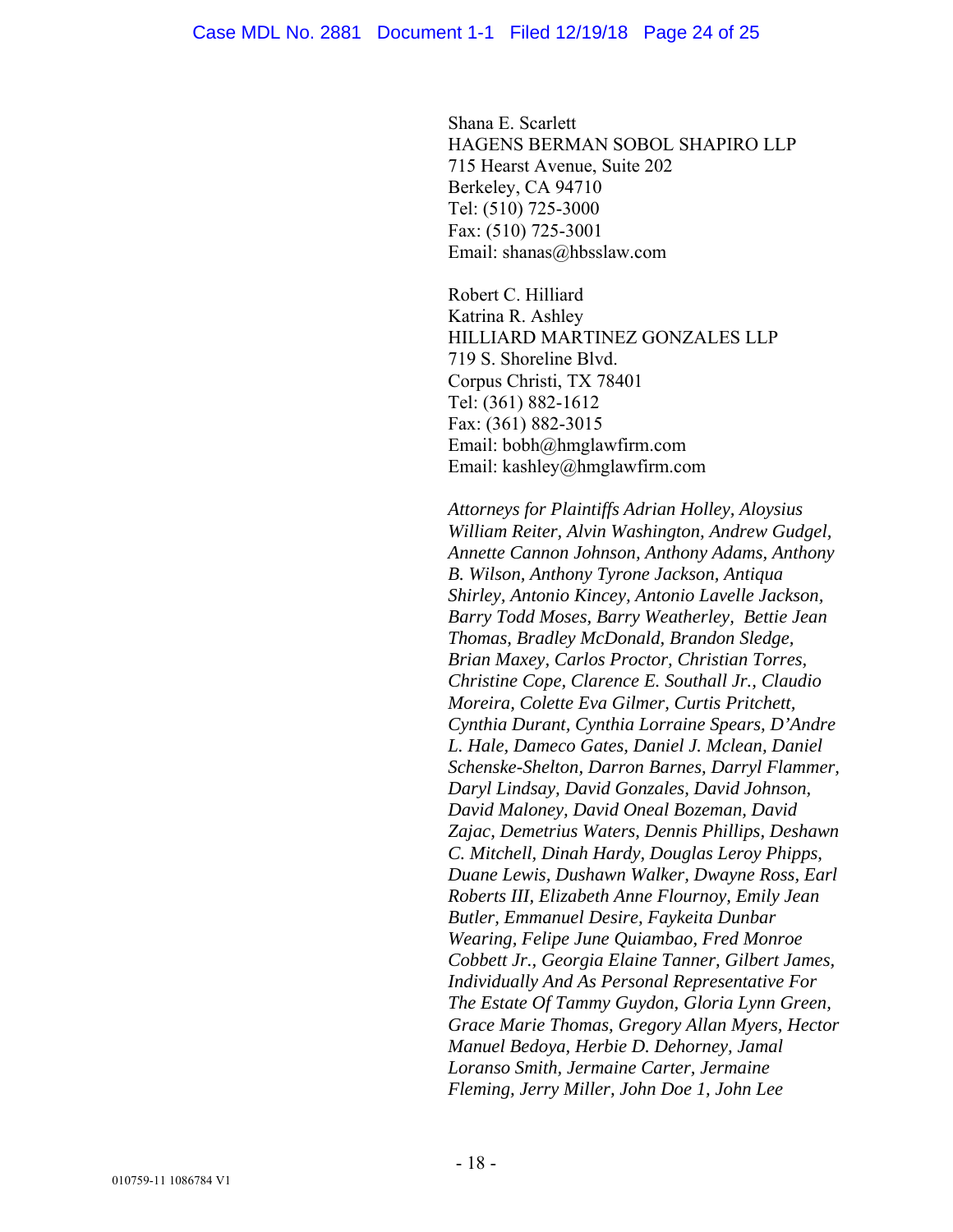Shana E. Scarlett HAGENS BERMAN SOBOL SHAPIRO LLP 715 Hearst Avenue, Suite 202 Berkeley, CA 94710 Tel: (510) 725-3000 Fax: (510) 725-3001 Email: shanas@hbsslaw.com

Robert C. Hilliard Katrina R. Ashley HILLIARD MARTINEZ GONZALES LLP 719 S. Shoreline Blvd. Corpus Christi, TX 78401 Tel: (361) 882-1612 Fax: (361) 882-3015 Email: bobh@hmglawfirm.com Email: kashley@hmglawfirm.com

*Attorneys for Plaintiffs Adrian Holley, Aloysius William Reiter, Alvin Washington, Andrew Gudgel, Annette Cannon Johnson, Anthony Adams, Anthony B. Wilson, Anthony Tyrone Jackson, Antiqua Shirley, Antonio Kincey, Antonio Lavelle Jackson, Barry Todd Moses, Barry Weatherley, Bettie Jean Thomas, Bradley McDonald, Brandon Sledge, Brian Maxey, Carlos Proctor, Christian Torres, Christine Cope, Clarence E. Southall Jr., Claudio Moreira, Colette Eva Gilmer, Curtis Pritchett, Cynthia Durant, Cynthia Lorraine Spears, D'Andre L. Hale, Dameco Gates, Daniel J. Mclean, Daniel Schenske-Shelton, Darron Barnes, Darryl Flammer, Daryl Lindsay, David Gonzales, David Johnson, David Maloney, David Oneal Bozeman, David Zajac, Demetrius Waters, Dennis Phillips, Deshawn C. Mitchell, Dinah Hardy, Douglas Leroy Phipps, Duane Lewis, Dushawn Walker, Dwayne Ross, Earl Roberts III, Elizabeth Anne Flournoy, Emily Jean Butler, Emmanuel Desire, Faykeita Dunbar Wearing, Felipe June Quiambao, Fred Monroe Cobbett Jr., Georgia Elaine Tanner, Gilbert James, Individually And As Personal Representative For The Estate Of Tammy Guydon, Gloria Lynn Green, Grace Marie Thomas, Gregory Allan Myers, Hector Manuel Bedoya, Herbie D. Dehorney, Jamal Loranso Smith, Jermaine Carter, Jermaine Fleming, Jerry Miller, John Doe 1, John Lee*